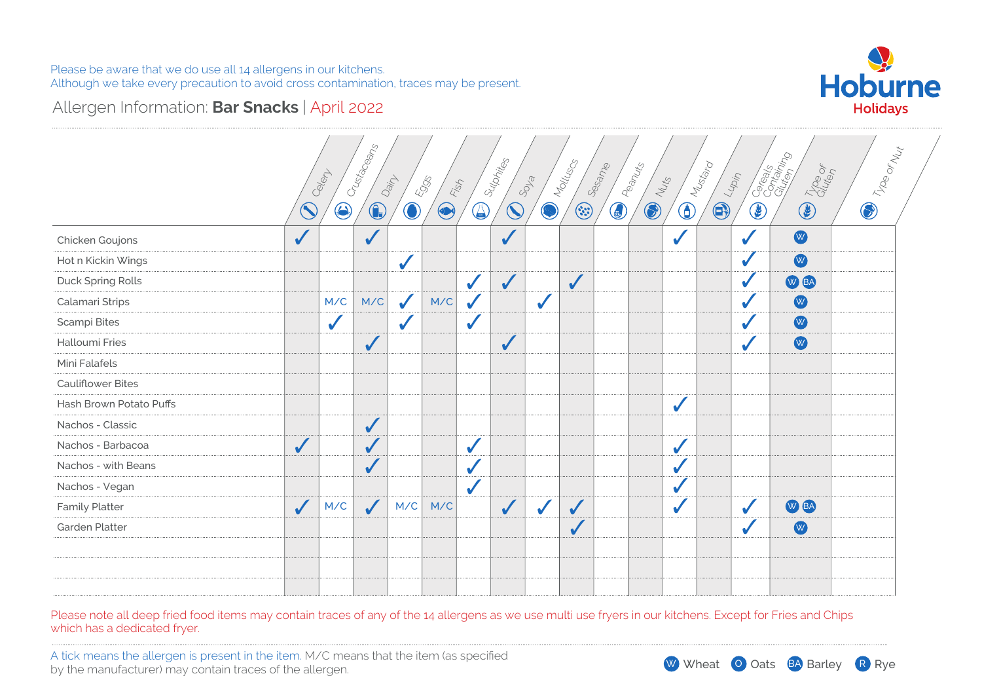

### Allergen Information: **Bar Snacks** | April 2022

|                          |              | Celert       | Crustaceans  | Dain         | 5905<br>Fish |              | Sulphites    | SOLS         | Molluscs     | Sesame     | Peanuts<br>Nuts | <b>Divideo</b> | $\frac{1}{4}$ |              | Corealist Co<br><b>CED Tropped</b> | <b>D</b> The orlean |
|--------------------------|--------------|--------------|--------------|--------------|--------------|--------------|--------------|--------------|--------------|------------|-----------------|----------------|---------------|--------------|------------------------------------|---------------------|
|                          | $\bigcirc$   | $\bigcirc$   | $\bigcirc$   | $\bigcirc$   | $\bigcirc$   | $\bigcirc$   | $\bigcirc$   | Ø            | $\odot$      | $\bigcirc$ | $\bigcirc$      |                | $\bigcirc$    | $\bigcirc$   |                                    |                     |
| Chicken Goujons          | $\checkmark$ |              | $\checkmark$ |              |              |              | $\checkmark$ |              |              |            |                 |                |               | $\checkmark$ | W                                  |                     |
| Hot n Kickin Wings       |              |              |              |              |              |              |              |              |              |            |                 |                |               |              | W                                  |                     |
| Duck Spring Rolls        |              |              |              |              |              | $\checkmark$ | $\checkmark$ |              | $\sqrt{}$    |            |                 |                |               |              | W BA                               |                     |
| Calamari Strips          |              | M/C          | M/C          | $\sqrt{2}$   | M/C          |              |              | ✔            |              |            |                 |                |               | $\checkmark$ | W                                  |                     |
| Scampi Bites             |              | $\checkmark$ |              | $\checkmark$ |              |              |              |              |              |            |                 |                |               |              | W                                  |                     |
| Halloumi Fries           |              |              | $\checkmark$ |              |              |              | $\checkmark$ |              |              |            |                 |                |               | $\sqrt{2}$   | W                                  |                     |
| Mini Falafels            |              |              |              |              |              |              |              |              |              |            |                 |                |               |              |                                    |                     |
| <b>Cauliflower Bites</b> |              |              |              |              |              |              |              |              |              |            |                 |                |               |              |                                    |                     |
| Hash Brown Potato Puffs  |              |              |              |              |              |              |              |              |              |            |                 |                |               |              |                                    |                     |
| Nachos - Classic         |              |              | $\checkmark$ |              |              |              |              |              |              |            |                 |                |               |              |                                    |                     |
| Nachos - Barbacoa        | $\checkmark$ |              | $\sqrt{}$    |              |              | $\checkmark$ |              |              |              |            |                 |                |               |              |                                    |                     |
| Nachos - with Beans      |              |              | ✔            |              |              |              |              |              |              |            |                 |                |               |              |                                    |                     |
| Nachos - Vegan           |              |              |              |              |              | $\checkmark$ |              |              |              |            |                 |                |               |              |                                    |                     |
| <b>Family Platter</b>    | $\checkmark$ | M/C          | $\checkmark$ | M/C          | M/C          |              | $\checkmark$ | $\checkmark$ | $\checkmark$ |            |                 | J              |               |              | W BA                               |                     |
| Garden Platter           |              |              |              |              |              |              |              |              | $\checkmark$ |            |                 |                |               |              | W                                  |                     |
|                          |              |              |              |              |              |              |              |              |              |            |                 |                |               |              |                                    |                     |
|                          |              |              |              |              |              |              |              |              |              |            |                 |                |               |              |                                    |                     |
|                          |              |              |              |              |              |              |              |              |              |            |                 |                |               |              |                                    |                     |

Please note all deep fried food items may contain traces of any of the 14 allergens as we use multi use fryers in our kitchens. Except for Fries and Chips which has a dedicated fryer.

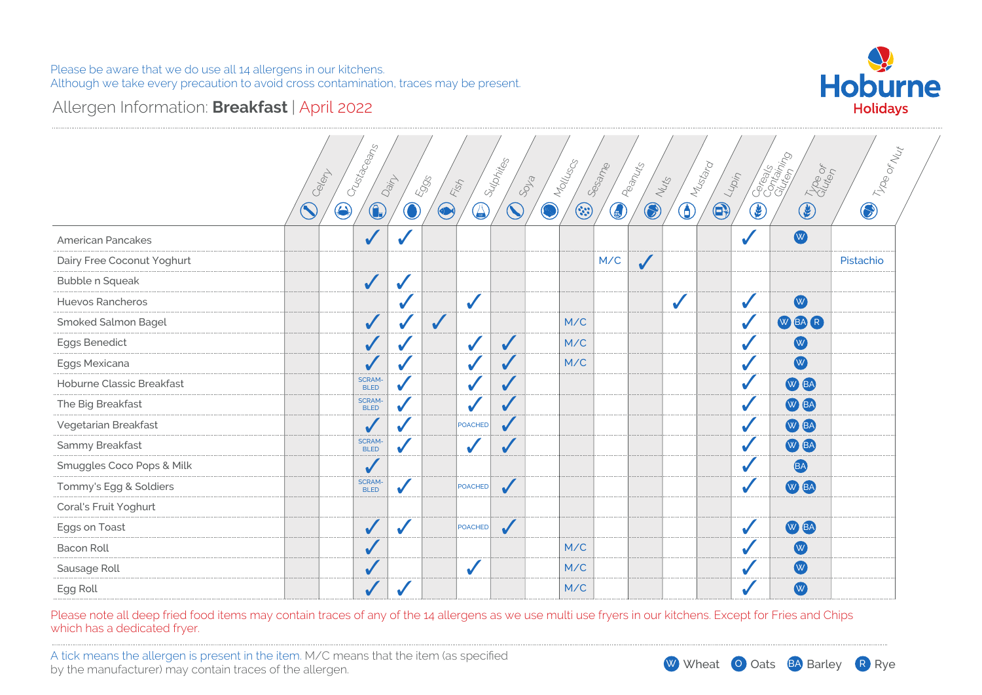

### Allergen Information: **Breakfast** | April 2022

|                            | Calent     | Crustaceans                  | Dain       | 5995<br>Fish  |                            | Sulphites               | SOLS | Molluscs | Sesame     | Peanuts      | Nuts       | Mustard    | $\frac{1}{\sqrt{2n\eta}}$ | Cocalista College<br>Trop of | I Troe or Nut |
|----------------------------|------------|------------------------------|------------|---------------|----------------------------|-------------------------|------|----------|------------|--------------|------------|------------|---------------------------|------------------------------|---------------|
|                            | $\bigcirc$ | $\bigcirc$<br>$\bigcirc$     | $\bigcirc$ | $\circledast$ | (A                         | $\mathbf{\widehat{S}}$  | Ø    | $\odot$  | $\bigcirc$ | $\bigcirc$   | $\bigcirc$ | $\bigcirc$ | $\bigcirc$                | $\circledast$                | $\bigcirc$    |
| American Pancakes          |            | $\checkmark$                 |            |               |                            |                         |      |          |            |              |            |            |                           | W                            |               |
| Dairy Free Coconut Yoghurt |            |                              |            |               |                            |                         |      |          | M/C        | $\checkmark$ |            |            |                           |                              | Pistachio     |
| Bubble n Squeak            |            | $\sqrt{2}$                   | ✔          |               |                            |                         |      |          |            |              |            |            |                           |                              |               |
| Huevos Rancheros           |            |                              |            |               | $\checkmark$               |                         |      |          |            |              |            |            |                           | W                            |               |
| Smoked Salmon Bagel        |            | $\checkmark$                 |            | $\checkmark$  |                            |                         |      | M/C      |            |              |            |            |                           | WEAR                         |               |
| Eggs Benedict              |            |                              |            |               | ✔                          | $\sqrt{2}$              |      | M/C      |            |              |            |            |                           | W                            |               |
| Eggs Mexicana              |            |                              |            |               |                            |                         |      | M/C      |            |              |            |            |                           | W                            |               |
| Hoburne Classic Breakfast  |            | <b>SCRAM-</b><br><b>BLED</b> | $\sqrt{2}$ |               |                            | $\overline{\mathbf{v}}$ |      |          |            |              |            |            |                           | W BA                         |               |
| The Big Breakfast          |            | <b>SCRAM-</b><br><b>BLED</b> |            |               |                            |                         |      |          |            |              |            |            |                           | W BA                         |               |
| Vegetarian Breakfast       |            | $\checkmark$                 |            |               | POACHED                    |                         |      |          |            |              |            |            |                           | W BA                         |               |
| Sammy Breakfast            |            | <b>SCRAM-</b><br><b>BLED</b> | $\sqrt{2}$ |               | ✔                          |                         |      |          |            |              |            |            |                           | W BA                         |               |
| Smuggles Coco Pops & Milk  |            |                              |            |               |                            |                         |      |          |            |              |            |            |                           | BA                           |               |
| Tommy's Egg & Soldiers     |            | <b>SCRAM-</b><br><b>BLED</b> | ✔          |               | POACHED                    | $\checkmark$            |      |          |            |              |            |            |                           | W BA                         |               |
| Coral's Fruit Yoghurt      |            |                              |            |               |                            |                         |      |          |            |              |            |            |                           |                              |               |
| Eggs on Toast              |            |                              |            |               | POACHED                    | $\checkmark$            |      |          |            |              |            |            |                           | W BA                         |               |
| <b>Bacon Roll</b>          |            |                              |            |               |                            |                         |      | M/C      |            |              |            |            |                           | W                            |               |
| Sausage Roll               |            |                              |            |               | $\boldsymbol{\mathcal{U}}$ |                         |      | M/C      |            |              |            |            |                           | W                            |               |
| Egg Roll                   |            |                              |            |               |                            |                         |      | M/C      |            |              |            |            |                           | W                            |               |

Please note all deep fried food items may contain traces of any of the 14 allergens as we use multi use fryers in our kitchens. Except for Fries and Chips which has a dedicated fryer.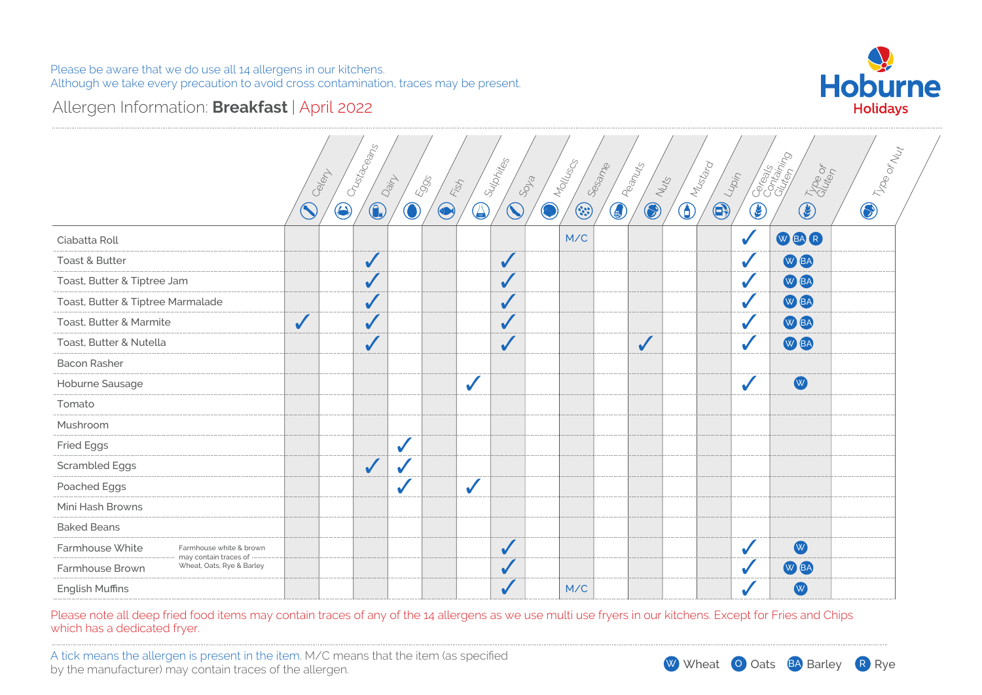

### Allergen Information: **Breakfast** | April 2022

|                                                                       |              | Crustaceans<br>Calent | Dain                     | 5905<br>Fish |              | Sulphites              | SOLS | Molluscs | Sesame<br><b>ED</b> Peanuts |              | Nuts | <b>Directory</b><br>Lupin |            | Corealist Coreal<br>Troe or | <b>D</b> The orlean |  |
|-----------------------------------------------------------------------|--------------|-----------------------|--------------------------|--------------|--------------|------------------------|------|----------|-----------------------------|--------------|------|---------------------------|------------|-----------------------------|---------------------|--|
|                                                                       | $\bigcirc$   | $\bigcirc$            | $\bigcirc$<br>$\bigcirc$ | $\bigcirc$   | $\bigcirc$   | $\widehat{\mathbb{C}}$ | Ø    | $\odot$  |                             | $\bigcirc$   |      | $\bigcirc$                | $\bigcirc$ | $\bigcirc$                  |                     |  |
| Ciabatta Roll                                                         |              |                       |                          |              |              |                        |      | M/C      |                             |              |      |                           | $\sqrt{2}$ | WEAR                        |                     |  |
| <b>Toast &amp; Butter</b>                                             |              | $\checkmark$          |                          |              |              | $\checkmark$           |      |          |                             |              |      |                           |            | W BA                        |                     |  |
| Toast, Butter & Tiptree Jam                                           |              | $\checkmark$          |                          |              |              | $\sqrt{2}$             |      |          |                             |              |      |                           |            | W BA                        |                     |  |
| Toast, Butter & Tiptree Marmalade                                     |              | ✔                     |                          |              |              | $\sqrt{}$              |      |          |                             |              |      |                           |            | W BA                        |                     |  |
| Toast, Butter & Marmite                                               | $\checkmark$ | ✔                     |                          |              |              |                        |      |          |                             |              |      |                           |            | W BA                        |                     |  |
| Toast, Butter & Nutella                                               |              | $\sqrt{2}$            |                          |              |              | $\checkmark$           |      |          |                             | $\checkmark$ |      |                           |            | W BA                        |                     |  |
| <b>Bacon Rasher</b>                                                   |              |                       |                          |              |              |                        |      |          |                             |              |      |                           |            |                             |                     |  |
| Hoburne Sausage                                                       |              |                       |                          |              | $\checkmark$ |                        |      |          |                             |              |      |                           | $\sqrt{2}$ | W                           |                     |  |
| Tomato                                                                |              |                       |                          |              |              |                        |      |          |                             |              |      |                           |            |                             |                     |  |
| Mushroom                                                              |              |                       |                          |              |              |                        |      |          |                             |              |      |                           |            |                             |                     |  |
| <b>Fried Eggs</b>                                                     |              |                       | $\checkmark$             |              |              |                        |      |          |                             |              |      |                           |            |                             |                     |  |
| <b>Scrambled Eggs</b>                                                 |              | $\sqrt{2}$            |                          |              |              |                        |      |          |                             |              |      |                           |            |                             |                     |  |
| Poached Eggs                                                          |              |                       | $\checkmark$             |              | $\sqrt{2}$   |                        |      |          |                             |              |      |                           |            |                             |                     |  |
| Mini Hash Browns                                                      |              |                       |                          |              |              |                        |      |          |                             |              |      |                           |            |                             |                     |  |
| <b>Baked Beans</b>                                                    |              |                       |                          |              |              |                        |      |          |                             |              |      |                           |            |                             |                     |  |
| Farmhouse White<br>Farmhouse white & brown                            |              |                       |                          |              |              | $\checkmark$           |      |          |                             |              |      |                           |            | W                           |                     |  |
| may contain traces of<br>Wheat, Oats, Rye & Barley<br>Farmhouse Brown |              |                       |                          |              |              |                        |      |          |                             |              |      |                           |            | W BA                        |                     |  |
| English Muffins                                                       |              |                       |                          |              |              | $\sqrt{2}$             |      | M/C      |                             |              |      |                           |            | W                           |                     |  |
|                                                                       |              |                       |                          |              |              |                        |      |          |                             |              |      |                           |            |                             |                     |  |

Please note all deep fried food items may contain traces of any of the 14 allergens as we use multi use fryers in our kitchens. Except for Fries and Chips which has a dedicated fryer.

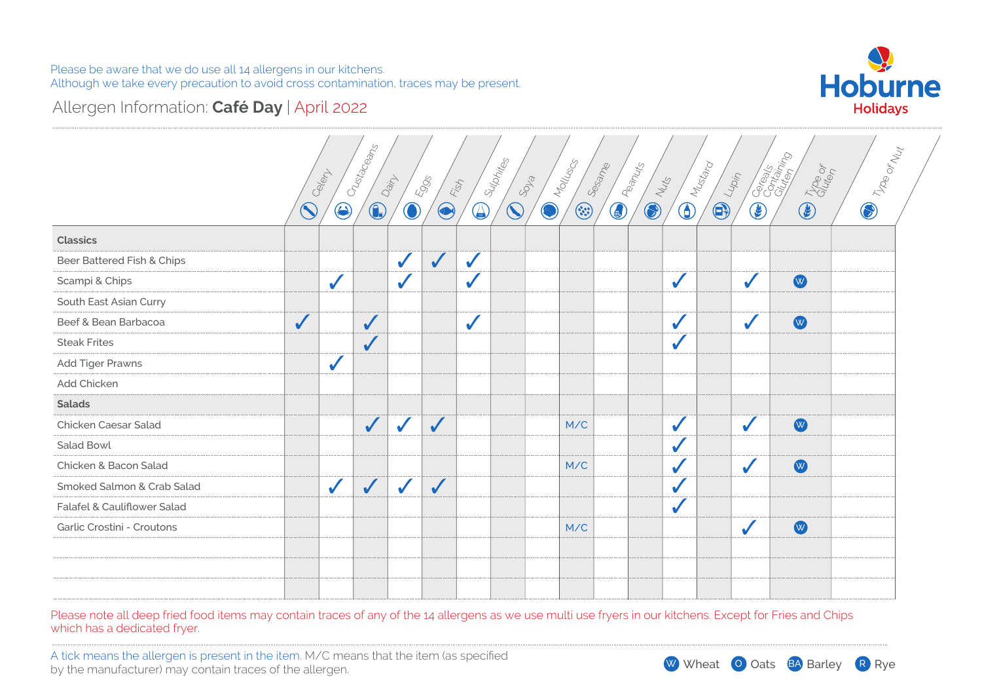

# Allergen Information: **Café Day** | April 2022

|                             |              |              | Crustaceans  |              |                     |              | Sulphites              |            | Molluscs<br>Sesame                                                              | <b>Campbellis</b> |                | $\bigoplus_{\substack{\mathcal{M}_{\mathcal{U}_{\mathcal{U}_{\mathcal{V}_{\mathcal{O}}}}}}}\mathcal{M}_{\mathcal{U}_{\mathcal{U}_{\mathcal{U}_{\mathcal{V}_{\mathcal{O}}}}}}}$ |       | Carago Caracter | <b>CO</b> Troe or Net |
|-----------------------------|--------------|--------------|--------------|--------------|---------------------|--------------|------------------------|------------|---------------------------------------------------------------------------------|-------------------|----------------|--------------------------------------------------------------------------------------------------------------------------------------------------------------------------------|-------|-----------------|-----------------------|
|                             |              | Celent       |              | Dain         | <b>Eggs</b><br>Fish |              |                        | SOLS       |                                                                                 |                   | <b>COLLEGE</b> |                                                                                                                                                                                | Lupin |                 |                       |
|                             | $\bigcirc$   | $\bigcirc$   | $\bigcirc$   | $\bigcirc$   | $\bigcirc$          | $\bigcirc$   | $\mathbf{\widehat{C}}$ | $\bigcirc$ | $\begin{pmatrix} \cdot & \cdot \\ \cdot & \cdot \\ \cdot & \cdot \end{pmatrix}$ |                   |                | $\bigoplus$                                                                                                                                                                    | C     | <b>CELTINGS</b> |                       |
| <b>Classics</b>             |              |              |              |              |                     |              |                        |            |                                                                                 |                   |                |                                                                                                                                                                                |       |                 |                       |
| Beer Battered Fish & Chips  |              |              |              | $\checkmark$ | $\checkmark$        | $\sqrt{}$    |                        |            |                                                                                 |                   |                |                                                                                                                                                                                |       |                 |                       |
| Scampi & Chips              |              | $\checkmark$ |              | $\checkmark$ |                     | $\checkmark$ |                        |            |                                                                                 |                   | $\checkmark$   |                                                                                                                                                                                |       | W               |                       |
| South East Asian Curry      |              |              |              |              |                     |              |                        |            |                                                                                 |                   |                |                                                                                                                                                                                |       |                 |                       |
| Beef & Bean Barbacoa        | $\checkmark$ |              | $\checkmark$ |              |                     | $\checkmark$ |                        |            |                                                                                 |                   | $\checkmark$   |                                                                                                                                                                                | ✔     | W               |                       |
| <b>Steak Frites</b>         |              |              | $\sqrt{}$    |              |                     |              |                        |            |                                                                                 |                   |                |                                                                                                                                                                                |       |                 |                       |
| Add Tiger Prawns            |              | $\checkmark$ |              |              |                     |              |                        |            |                                                                                 |                   |                |                                                                                                                                                                                |       |                 |                       |
| Add Chicken                 |              |              |              |              |                     |              |                        |            |                                                                                 |                   |                |                                                                                                                                                                                |       |                 |                       |
| <b>Salads</b>               |              |              |              |              |                     |              |                        |            |                                                                                 |                   |                |                                                                                                                                                                                |       |                 |                       |
| Chicken Caesar Salad        |              |              | $\checkmark$ | $\checkmark$ | $\checkmark$        |              |                        |            | M/C                                                                             |                   | ✔              |                                                                                                                                                                                |       | W               |                       |
| Salad Bowl                  |              |              |              |              |                     |              |                        |            |                                                                                 |                   |                |                                                                                                                                                                                |       |                 |                       |
| Chicken & Bacon Salad       |              |              |              |              |                     |              |                        |            | M/C                                                                             |                   |                |                                                                                                                                                                                |       | W               |                       |
| Smoked Salmon & Crab Salad  |              | $\checkmark$ | $\checkmark$ | $\checkmark$ | $\checkmark$        |              |                        |            |                                                                                 |                   |                |                                                                                                                                                                                |       |                 |                       |
| Falafel & Cauliflower Salad |              |              |              |              |                     |              |                        |            |                                                                                 |                   |                |                                                                                                                                                                                |       |                 |                       |
| Garlic Crostini - Croutons  |              |              |              |              |                     |              |                        |            | M/C                                                                             |                   |                |                                                                                                                                                                                |       | W               |                       |
|                             |              |              |              |              |                     |              |                        |            |                                                                                 |                   |                |                                                                                                                                                                                |       |                 |                       |
|                             |              |              |              |              |                     |              |                        |            |                                                                                 |                   |                |                                                                                                                                                                                |       |                 |                       |
|                             |              |              |              |              |                     |              |                        |            |                                                                                 |                   |                |                                                                                                                                                                                |       |                 |                       |

Please note all deep fried food items may contain traces of any of the 14 allergens as we use multi use fryers in our kitchens. Except for Fries and Chips which has a dedicated fryer.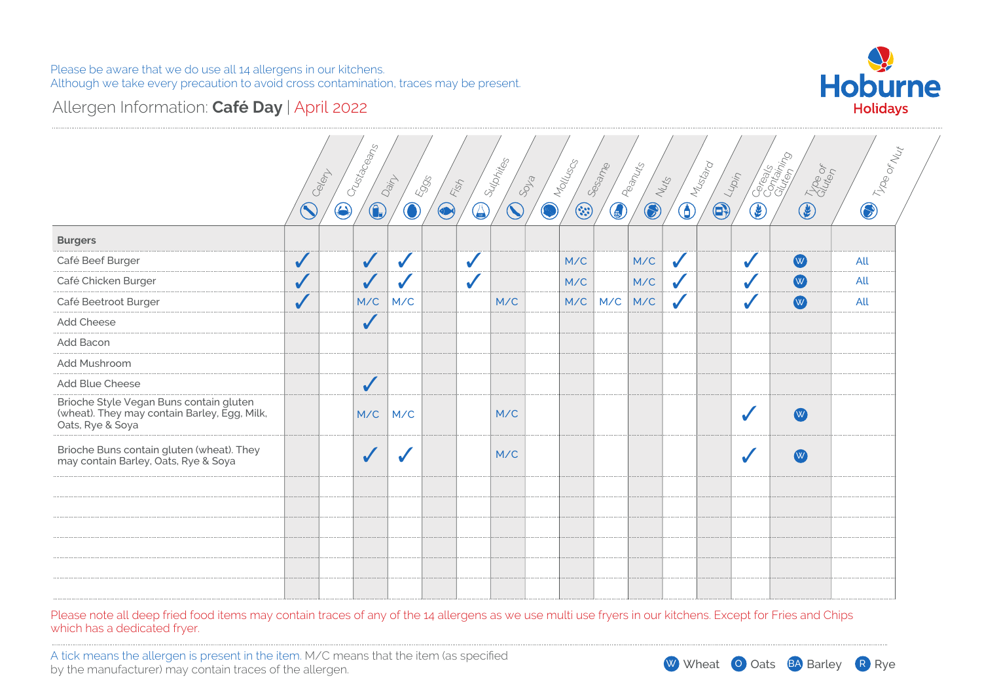

# Allergen Information: **Café Day** | April 2022

|                                                                                                             |              | Crustaceans<br>Celert    | Dain       | 4995<br>Fish | Sulphites                            | Molluscs<br>SOLS | Sesame       | Peanuts    | Nuts         | <b>Division Reserve</b><br>$\frac{L_{\nu_{\mathcal{D},\dot{\eta}}}}{}$ |                  | Cocontractor<br>The or                                                                                                                                                                                                                                                                                                                              | <b>D</b> Troe or Nut |
|-------------------------------------------------------------------------------------------------------------|--------------|--------------------------|------------|--------------|--------------------------------------|------------------|--------------|------------|--------------|------------------------------------------------------------------------|------------------|-----------------------------------------------------------------------------------------------------------------------------------------------------------------------------------------------------------------------------------------------------------------------------------------------------------------------------------------------------|----------------------|
|                                                                                                             | $\bigcirc$   | $\bigcirc$<br>$\bigcirc$ | $\bigcirc$ | $\bigcirc$   | $\mathbf{\widehat{S}}$<br>$\bigcirc$ | Ø                | 4<br>$\odot$ | $\bigcirc$ |              | $\bigoplus$                                                            | $\bigcircledast$ | $\begin{picture}(20,20) \put(0,0){\line(1,0){10}} \put(15,0){\line(1,0){10}} \put(15,0){\line(1,0){10}} \put(15,0){\line(1,0){10}} \put(15,0){\line(1,0){10}} \put(15,0){\line(1,0){10}} \put(15,0){\line(1,0){10}} \put(15,0){\line(1,0){10}} \put(15,0){\line(1,0){10}} \put(15,0){\line(1,0){10}} \put(15,0){\line(1,0){10}} \put(15,0){\line(1$ |                      |
| <b>Burgers</b>                                                                                              |              |                          |            |              |                                      |                  |              |            |              |                                                                        |                  |                                                                                                                                                                                                                                                                                                                                                     |                      |
| Café Beef Burger                                                                                            | $\checkmark$ | $\checkmark$             |            | $\checkmark$ |                                      | M/C              |              | M/C        | $\checkmark$ |                                                                        |                  | W                                                                                                                                                                                                                                                                                                                                                   | All                  |
| Café Chicken Burger                                                                                         | $\checkmark$ | $\sqrt{}$                |            | ✔            |                                      | M/C              |              | M/C        | ✔            |                                                                        |                  | W                                                                                                                                                                                                                                                                                                                                                   | All                  |
| Café Beetroot Burger                                                                                        |              | M/C                      | M/C        |              | M/C                                  | M/C              | M/C          | M/C        | $\checkmark$ |                                                                        |                  | W                                                                                                                                                                                                                                                                                                                                                   | All                  |
| Add Cheese                                                                                                  |              | $\checkmark$             |            |              |                                      |                  |              |            |              |                                                                        |                  |                                                                                                                                                                                                                                                                                                                                                     |                      |
| Add Bacon                                                                                                   |              |                          |            |              |                                      |                  |              |            |              |                                                                        |                  |                                                                                                                                                                                                                                                                                                                                                     |                      |
| Add Mushroom                                                                                                |              |                          |            |              |                                      |                  |              |            |              |                                                                        |                  |                                                                                                                                                                                                                                                                                                                                                     |                      |
| Add Blue Cheese                                                                                             |              | $\sqrt{}$                |            |              |                                      |                  |              |            |              |                                                                        |                  |                                                                                                                                                                                                                                                                                                                                                     |                      |
| Brioche Style Vegan Buns contain gluten<br>(wheat). They may contain Barley, Egg, Milk,<br>Oats, Rye & Soya |              | M/C                      | M/C        |              | M/C                                  |                  |              |            |              |                                                                        |                  | W                                                                                                                                                                                                                                                                                                                                                   |                      |
| Brioche Buns contain gluten (wheat). They<br>may contain Barley, Oats, Rye & Soya                           |              | $\checkmark$             |            |              | M/C                                  |                  |              |            |              |                                                                        |                  | W                                                                                                                                                                                                                                                                                                                                                   |                      |
|                                                                                                             |              |                          |            |              |                                      |                  |              |            |              |                                                                        |                  |                                                                                                                                                                                                                                                                                                                                                     |                      |
|                                                                                                             |              |                          |            |              |                                      |                  |              |            |              |                                                                        |                  |                                                                                                                                                                                                                                                                                                                                                     |                      |
|                                                                                                             |              |                          |            |              |                                      |                  |              |            |              |                                                                        |                  |                                                                                                                                                                                                                                                                                                                                                     |                      |
|                                                                                                             |              |                          |            |              |                                      |                  |              |            |              |                                                                        |                  |                                                                                                                                                                                                                                                                                                                                                     |                      |
|                                                                                                             |              |                          |            |              |                                      |                  |              |            |              |                                                                        |                  |                                                                                                                                                                                                                                                                                                                                                     |                      |
|                                                                                                             |              |                          |            |              |                                      |                  |              |            |              |                                                                        |                  |                                                                                                                                                                                                                                                                                                                                                     |                      |

Please note all deep fried food items may contain traces of any of the 14 allergens as we use multi use fryers in our kitchens. Except for Fries and Chips which has a dedicated fryer.

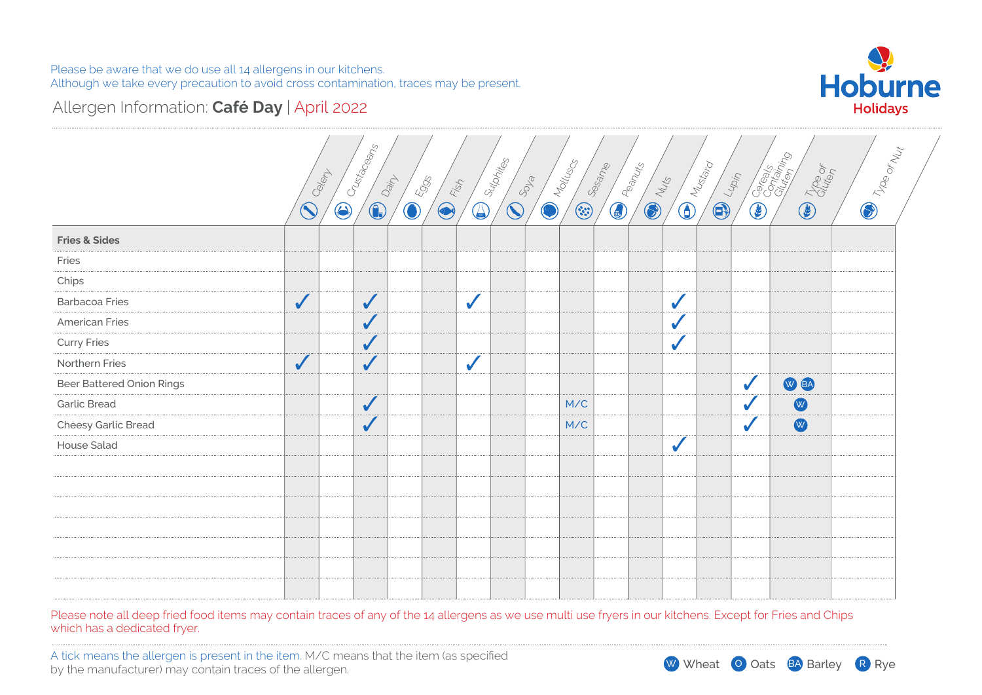

# Allergen Information: **Café Day** | April 2022

|                           |              |            | Crustaceans  | Dain       | 5995<br>Fish |              |                                           |                                     |                                |                |              |                                                                                                                             |            | <b>Coreals</b>  |                      |
|---------------------------|--------------|------------|--------------|------------|--------------|--------------|-------------------------------------------|-------------------------------------|--------------------------------|----------------|--------------|-----------------------------------------------------------------------------------------------------------------------------|------------|-----------------|----------------------|
|                           | Coeley       | $\bigodot$ | $\bigodot$   | $\bigcirc$ | $\bigcirc$   |              | <b>D</b> Sulphiles<br><b>CONSCRIPTION</b> | <b>CONTROLLING</b><br><b>Sesame</b> | <b>CONTROLLED BY STRATEGIC</b> | <b>COLLEGE</b> |              | $\bigoplus_{\substack{\mathcal{M}_{\mathcal{U}_{\mathcal{C}\natural_{\mathcal{O}_{\mathcal{C}}}}}}$<br><b>CONTROVERSITY</b> | $\bigcirc$ | <b>COLLEGAT</b> | <b>D</b> Troe or Nut |
| <b>Fries &amp; Sides</b>  |              |            |              |            |              |              |                                           |                                     |                                |                |              |                                                                                                                             |            |                 |                      |
| Fries                     |              |            |              |            |              |              |                                           |                                     |                                |                |              |                                                                                                                             |            |                 |                      |
| Chips                     |              |            |              |            |              |              |                                           |                                     |                                |                |              |                                                                                                                             |            |                 |                      |
| <b>Barbacoa Fries</b>     | $\checkmark$ |            | $\checkmark$ |            |              | $\checkmark$ |                                           |                                     |                                |                | $\sqrt{2}$   |                                                                                                                             |            |                 |                      |
| <b>American Fries</b>     |              |            | $\sqrt{}$    |            |              |              |                                           |                                     |                                |                |              |                                                                                                                             |            |                 |                      |
| <b>Curry Fries</b>        |              |            | $\checkmark$ |            |              |              |                                           |                                     |                                |                |              |                                                                                                                             |            |                 |                      |
| Northern Fries            | $\checkmark$ |            | $\checkmark$ |            |              | $\checkmark$ |                                           |                                     |                                |                |              |                                                                                                                             |            |                 |                      |
| Beer Battered Onion Rings |              |            |              |            |              |              |                                           |                                     |                                |                |              |                                                                                                                             |            | W BA            |                      |
| <b>Garlic Bread</b>       |              |            | $\checkmark$ |            |              |              |                                           | M/C                                 |                                |                |              |                                                                                                                             |            | W               |                      |
| Cheesy Garlic Bread       |              |            | $\checkmark$ |            |              |              |                                           | M/C                                 |                                |                |              |                                                                                                                             |            | W               |                      |
| <b>House Salad</b>        |              |            |              |            |              |              |                                           |                                     |                                |                | $\checkmark$ |                                                                                                                             |            |                 |                      |
|                           |              |            |              |            |              |              |                                           |                                     |                                |                |              |                                                                                                                             |            |                 |                      |
|                           |              |            |              |            |              |              |                                           |                                     |                                |                |              |                                                                                                                             |            |                 |                      |
|                           |              |            |              |            |              |              |                                           |                                     |                                |                |              |                                                                                                                             |            |                 |                      |
|                           |              |            |              |            |              |              |                                           |                                     |                                |                |              |                                                                                                                             |            |                 |                      |
|                           |              |            |              |            |              |              |                                           |                                     |                                |                |              |                                                                                                                             |            |                 |                      |
|                           |              |            |              |            |              |              |                                           |                                     |                                |                |              |                                                                                                                             |            |                 |                      |
|                           |              |            |              |            |              |              |                                           |                                     |                                |                |              |                                                                                                                             |            |                 |                      |
|                           |              |            |              |            |              |              |                                           |                                     |                                |                |              |                                                                                                                             |            |                 |                      |

Please note all deep fried food items may contain traces of any of the 14 allergens as we use multi use fryers in our kitchens. Except for Fries and Chips which has a dedicated fryer.

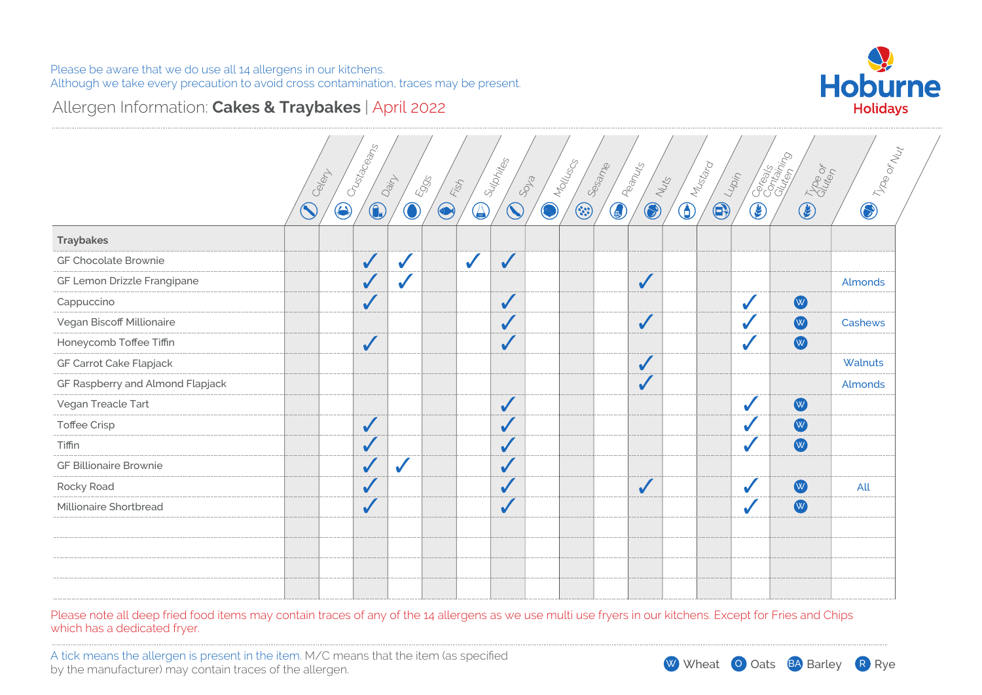

### Allergen Information: **Cakes & Traybakes** | April 2022

|                                  |            | Crustageans<br>Celep     |            |            |              | Sulphites    | Molluscs | Sesame  | Peanuts                  | I Mustard  |                          | Caraga<br>Caragania<br>Trop of | I Troe or Nut |
|----------------------------------|------------|--------------------------|------------|------------|--------------|--------------|----------|---------|--------------------------|------------|--------------------------|--------------------------------|---------------|
|                                  |            |                          | Dainy      | 5905       | FEBT         |              | SOLS     |         | Nuts                     |            | $\frac{1}{4}$            |                                |               |
|                                  | $\bigcirc$ | $\bigcirc$<br>$\bigodot$ | $\bigcirc$ | $\bigcirc$ | $\bigcirc$   | $\bigcirc$   | Ø        | $\odot$ | $\bigcirc$<br>$\bigcirc$ | $\bigcirc$ | $\bigcirc$<br>$\bigcirc$ | $\circledast$                  | $\bigcirc$    |
| <b>Traybakes</b>                 |            |                          |            |            |              |              |          |         |                          |            |                          |                                |               |
| GF Chocolate Brownie             |            | $\checkmark$             |            |            | $\checkmark$ | $\sqrt{2}$   |          |         |                          |            |                          |                                |               |
| GF Lemon Drizzle Frangipane      |            | $\sqrt{2}$               |            |            |              |              |          |         | $\checkmark$             |            |                          |                                | Almonds       |
| Cappuccino                       |            | $\checkmark$             |            |            |              | $\checkmark$ |          |         |                          |            |                          | W                              |               |
| Vegan Biscoff Millionaire        |            |                          |            |            |              | $\checkmark$ |          |         | $\checkmark$             |            |                          | W                              | Cashews       |
| Honeycomb Toffee Tiffin          |            | $\sqrt{2}$               |            |            |              | $\sqrt{2}$   |          |         |                          |            |                          | W                              |               |
| GF Carrot Cake Flapjack          |            |                          |            |            |              |              |          |         | $\checkmark$             |            |                          |                                | Walnuts       |
| GF Raspberry and Almond Flapjack |            |                          |            |            |              |              |          |         | $\checkmark$             |            |                          |                                | Almonds       |
| Vegan Treacle Tart               |            |                          |            |            |              | $\checkmark$ |          |         |                          |            |                          | W                              |               |
| <b>Toffee Crisp</b>              |            | $\sqrt{2}$               |            |            |              | $\checkmark$ |          |         |                          |            |                          | $\bullet$                      |               |
| Tiffin                           |            | $\checkmark$             |            |            |              | $\checkmark$ |          |         |                          |            |                          | W                              |               |
| <b>GF Billionaire Brownie</b>    |            | $\sqrt{2}$               | J          |            |              | $\checkmark$ |          |         |                          |            |                          |                                |               |
| Rocky Road                       |            | $\sqrt{2}$               |            |            |              | $\checkmark$ |          |         | $\checkmark$             |            |                          | W                              | All           |
| Millionaire Shortbread           |            | $\checkmark$             |            |            |              | $\checkmark$ |          |         |                          |            |                          | W                              |               |
|                                  |            |                          |            |            |              |              |          |         |                          |            |                          |                                |               |
|                                  |            |                          |            |            |              |              |          |         |                          |            |                          |                                |               |
|                                  |            |                          |            |            |              |              |          |         |                          |            |                          |                                |               |
|                                  |            |                          |            |            |              |              |          |         |                          |            |                          |                                |               |

Please note all deep fried food items may contain traces of any of the 14 allergens as we use multi use fryers in our kitchens. Except for Fries and Chips which has a dedicated fryer.

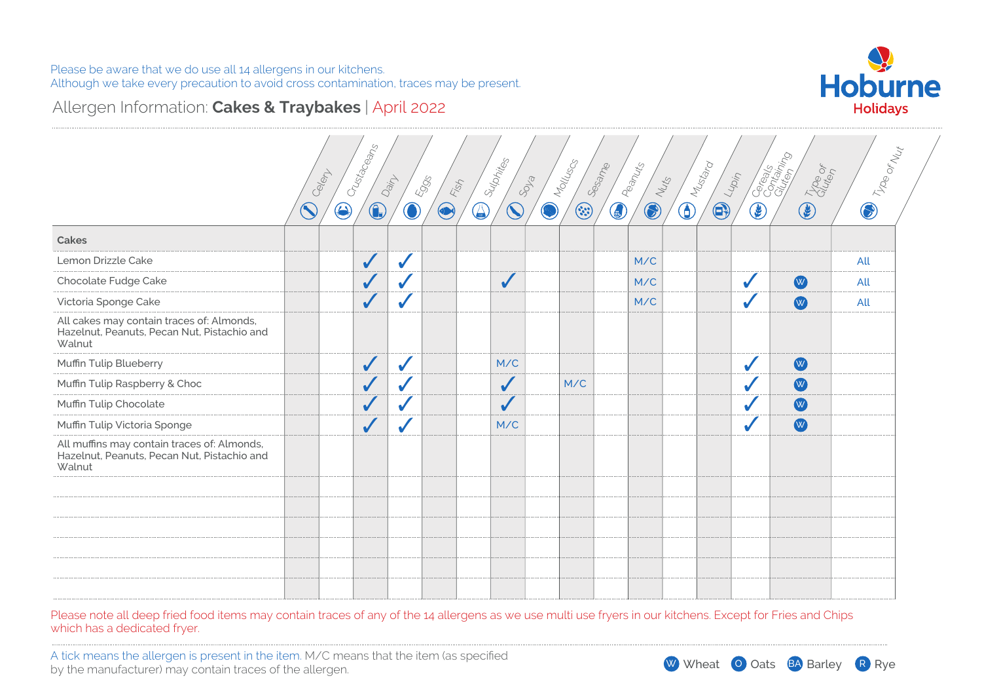

### Allergen Information: **Cakes & Traybakes** | April 2022

|                                                                                                      |            | Celert     | Crustaceans  | Dainy        | Eggs<br>Fish |            | Sulphites    | SOLS | Molluscs | Sesame        | Peanuts<br>Nuts |            | Mustard<br>$\frac{1}{\sqrt{2}}$ |                  | Cocodes Collaps | Troo or | <b>D</b> Troe or May |
|------------------------------------------------------------------------------------------------------|------------|------------|--------------|--------------|--------------|------------|--------------|------|----------|---------------|-----------------|------------|---------------------------------|------------------|-----------------|---------|----------------------|
|                                                                                                      | $\bigcirc$ | $\bigcirc$ | $\bigcirc$   | $\bigcirc$   | $\bigcirc$   | $\bigcirc$ | $\bigcirc$   | Ø    | $\odot$  | $\circledast$ | $\bigcirc$      | $\bigcirc$ | $\bigcirc$                      | $\bigcircledast$ | $\bigcirc$      |         |                      |
| Cakes                                                                                                |            |            |              |              |              |            |              |      |          |               |                 |            |                                 |                  |                 |         |                      |
| Lemon Drizzle Cake                                                                                   |            |            | $\checkmark$ | $\checkmark$ |              |            |              |      |          |               | M/C             |            |                                 |                  |                 |         | All                  |
| Chocolate Fudge Cake                                                                                 |            |            | $\checkmark$ |              |              |            | $\checkmark$ |      |          |               | M/C             |            |                                 |                  | W               |         | All                  |
| Victoria Sponge Cake                                                                                 |            |            | $\checkmark$ |              |              |            |              |      |          |               | M/C             |            |                                 |                  | W               |         | All                  |
| All cakes may contain traces of: Almonds,<br>Hazelnut, Peanuts, Pecan Nut, Pistachio and<br>Walnut   |            |            |              |              |              |            |              |      |          |               |                 |            |                                 |                  |                 |         |                      |
| Muffin Tulip Blueberry                                                                               |            |            | $\checkmark$ | $\checkmark$ |              |            | M/C          |      |          |               |                 |            |                                 |                  | W               |         |                      |
| Muffin Tulip Raspberry & Choc                                                                        |            |            | $\checkmark$ |              |              |            | $\checkmark$ |      | M/C      |               |                 |            |                                 |                  | W               |         |                      |
| Muffin Tulip Chocolate                                                                               |            |            | $\checkmark$ |              |              |            | $\checkmark$ |      |          |               |                 |            |                                 |                  | W               |         |                      |
| Muffin Tulip Victoria Sponge                                                                         |            |            | $\sqrt{}$    |              |              |            | M/C          |      |          |               |                 |            |                                 |                  | W               |         |                      |
| All muffins may contain traces of: Almonds,<br>Hazelnut, Peanuts, Pecan Nut, Pistachio and<br>Walnut |            |            |              |              |              |            |              |      |          |               |                 |            |                                 |                  |                 |         |                      |
|                                                                                                      |            |            |              |              |              |            |              |      |          |               |                 |            |                                 |                  |                 |         |                      |
|                                                                                                      |            |            |              |              |              |            |              |      |          |               |                 |            |                                 |                  |                 |         |                      |
|                                                                                                      |            |            |              |              |              |            |              |      |          |               |                 |            |                                 |                  |                 |         |                      |
|                                                                                                      |            |            |              |              |              |            |              |      |          |               |                 |            |                                 |                  |                 |         |                      |
|                                                                                                      |            |            |              |              |              |            |              |      |          |               |                 |            |                                 |                  |                 |         |                      |
|                                                                                                      |            |            |              |              |              |            |              |      |          |               |                 |            |                                 |                  |                 |         |                      |

Please note all deep fried food items may contain traces of any of the 14 allergens as we use multi use fryers in our kitchens. Except for Fries and Chips which has a dedicated fryer.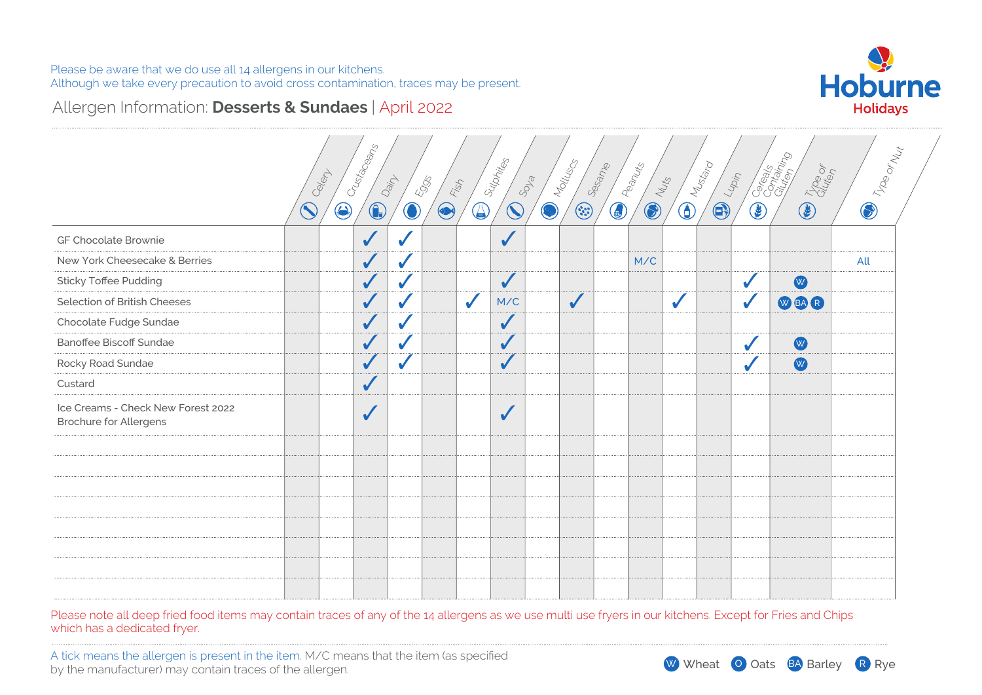

# Allergen Information: **Desserts & Sundaes** | April 2022

|                                                                     | Celent     | Crustaceans              | Dain       | <b>Eggs</b><br>Fish      | Sulphites    | SOLS       | Molluscs     | Sesame<br>Peanuts | NUNS       |              | I Mustard  | Lupin      | <b>Communities</b> | <b>D</b> Troe or Nut |
|---------------------------------------------------------------------|------------|--------------------------|------------|--------------------------|--------------|------------|--------------|-------------------|------------|--------------|------------|------------|--------------------|----------------------|
|                                                                     | $\bigcirc$ | $\bigcirc$<br>$\bigodot$ | $\bigcirc$ | $\bigcirc$<br>$\bigcirc$ | $\bigcirc$   | $\bigcirc$ | $\odot$      | $\bigcirc$        | $\bigcirc$ | $\bigcirc$   | $\bigcirc$ | $\bigcirc$ |                    |                      |
| GF Chocolate Brownie                                                |            | $\checkmark$             |            |                          | $\sqrt{2}$   |            |              |                   |            |              |            |            |                    |                      |
| New York Cheesecake & Berries                                       |            | $\checkmark$             | $\sqrt{2}$ |                          |              |            |              |                   | M/C        |              |            |            |                    | All                  |
| <b>Sticky Toffee Pudding</b>                                        |            | $\checkmark$             |            |                          | $\checkmark$ |            |              |                   |            |              |            |            | W                  |                      |
| Selection of British Cheeses                                        |            | $\checkmark$             |            | $\checkmark$             | M/C          |            | $\checkmark$ |                   |            | $\checkmark$ |            |            | WBAR               |                      |
| Chocolate Fudge Sundae                                              |            | $\checkmark$             |            |                          | $\sqrt{}$    |            |              |                   |            |              |            |            |                    |                      |
| Banoffee Biscoff Sundae                                             |            | $\checkmark$             |            |                          | $\sqrt{}$    |            |              |                   |            |              |            |            | W                  |                      |
| Rocky Road Sundae                                                   |            | $\checkmark$             |            |                          | $\checkmark$ |            |              |                   |            |              |            |            | W                  |                      |
| Custard                                                             |            | $\checkmark$             |            |                          |              |            |              |                   |            |              |            |            |                    |                      |
| Ice Creams - Check New Forest 2022<br><b>Brochure for Allergens</b> |            | $\checkmark$             |            |                          | $\sqrt{}$    |            |              |                   |            |              |            |            |                    |                      |
|                                                                     |            |                          |            |                          |              |            |              |                   |            |              |            |            |                    |                      |
|                                                                     |            |                          |            |                          |              |            |              |                   |            |              |            |            |                    |                      |
|                                                                     |            |                          |            |                          |              |            |              |                   |            |              |            |            |                    |                      |
|                                                                     |            |                          |            |                          |              |            |              |                   |            |              |            |            |                    |                      |
|                                                                     |            |                          |            |                          |              |            |              |                   |            |              |            |            |                    |                      |
|                                                                     |            |                          |            |                          |              |            |              |                   |            |              |            |            |                    |                      |
|                                                                     |            |                          |            |                          |              |            |              |                   |            |              |            |            |                    |                      |

Please note all deep fried food items may contain traces of any of the 14 allergens as we use multi use fryers in our kitchens. Except for Fries and Chips which has a dedicated fryer.

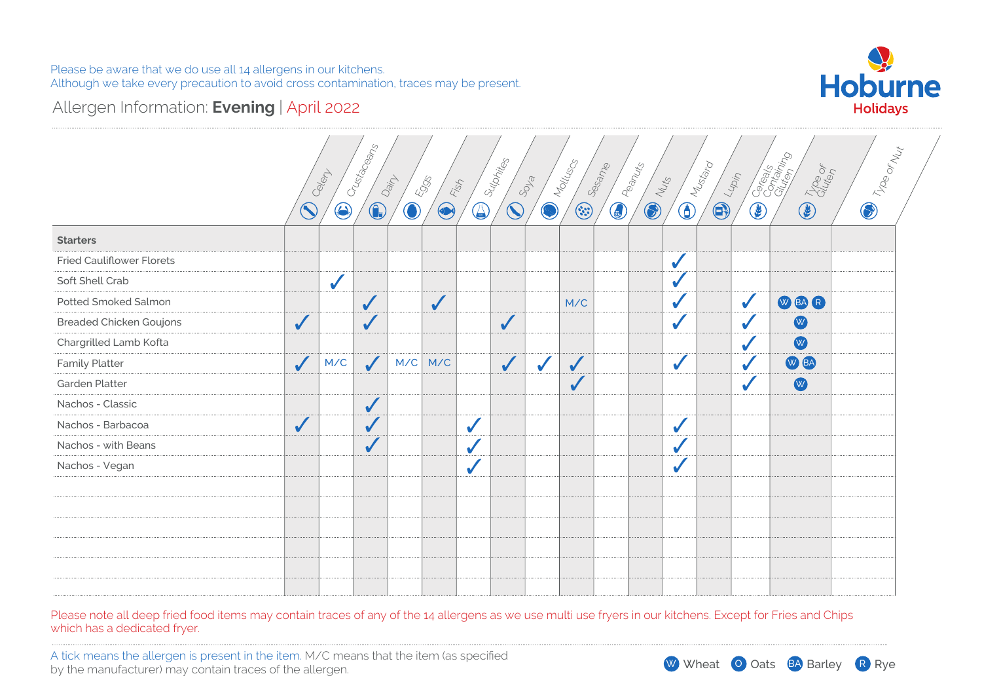

# Allergen Information: **Evening** | April 2022

|                                  |              |              | Crustaceans  |            |              |              | Sulphites              |              | I Molluscs | Sesame<br><b>ED PREPALLS</b> |                 | <b>Divideo</b> |                  | <b>Careage</b>  | <b>D</b> Troe or Nut |
|----------------------------------|--------------|--------------|--------------|------------|--------------|--------------|------------------------|--------------|------------|------------------------------|-----------------|----------------|------------------|-----------------|----------------------|
|                                  |              | Celert       |              | Dain       | 5995<br>Flop |              |                        | SOLS         |            |                              | <b>CO</b> Nutts |                | Lupin            | <b>CE</b> Troop |                      |
|                                  | $\bigcirc$   | $\bigcirc$   | $\bigcirc$   | $\bigcirc$ | $\bigcirc$   | $\bigcirc$   | $\widehat{\mathbb{C}}$ | Ø            | $\odot$    |                              |                 | $\bigodot$     | $\bigcircledast$ |                 |                      |
| <b>Starters</b>                  |              |              |              |            |              |              |                        |              |            |                              |                 |                |                  |                 |                      |
| <b>Fried Cauliflower Florets</b> |              |              |              |            |              |              |                        |              |            |                              | ✔               |                |                  |                 |                      |
| Soft Shell Crab                  |              | $\checkmark$ |              |            |              |              |                        |              |            |                              |                 |                |                  |                 |                      |
| Potted Smoked Salmon             |              |              | $\checkmark$ |            | $\checkmark$ |              |                        |              | M/C        |                              |                 |                | $\sqrt{2}$       | WBAR            |                      |
| <b>Breaded Chicken Goujons</b>   | $\checkmark$ |              | $\sqrt{}$    |            |              |              | $\checkmark$           |              |            |                              |                 |                |                  | W               |                      |
| Chargrilled Lamb Kofta           |              |              |              |            |              |              |                        |              |            |                              |                 |                |                  | W               |                      |
| <b>Family Platter</b>            | $\checkmark$ | M/C          | $\checkmark$ | M/C        | M/C          |              | $\checkmark$           | $\checkmark$ | $\sqrt{2}$ |                              | $\mathbf{r}$    |                |                  | W BA            |                      |
| Garden Platter                   |              |              |              |            |              |              |                        |              | $\sqrt{2}$ |                              |                 |                |                  | $\bullet$       |                      |
| Nachos - Classic                 |              |              | $\checkmark$ |            |              |              |                        |              |            |                              |                 |                |                  |                 |                      |
| Nachos - Barbacoa                | $\checkmark$ |              |              |            |              | $\checkmark$ |                        |              |            |                              | ✔               |                |                  |                 |                      |
| Nachos - with Beans              |              |              |              |            |              | $\checkmark$ |                        |              |            |                              |                 |                |                  |                 |                      |
| Nachos - Vegan                   |              |              |              |            |              | $\checkmark$ |                        |              |            |                              |                 |                |                  |                 |                      |
|                                  |              |              |              |            |              |              |                        |              |            |                              |                 |                |                  |                 |                      |
|                                  |              |              |              |            |              |              |                        |              |            |                              |                 |                |                  |                 |                      |
|                                  |              |              |              |            |              |              |                        |              |            |                              |                 |                |                  |                 |                      |
|                                  |              |              |              |            |              |              |                        |              |            |                              |                 |                |                  |                 |                      |
|                                  |              |              |              |            |              |              |                        |              |            |                              |                 |                |                  |                 |                      |
|                                  |              |              |              |            |              |              |                        |              |            |                              |                 |                |                  |                 |                      |

Please note all deep fried food items may contain traces of any of the 14 allergens as we use multi use fryers in our kitchens. Except for Fries and Chips which has a dedicated fryer.

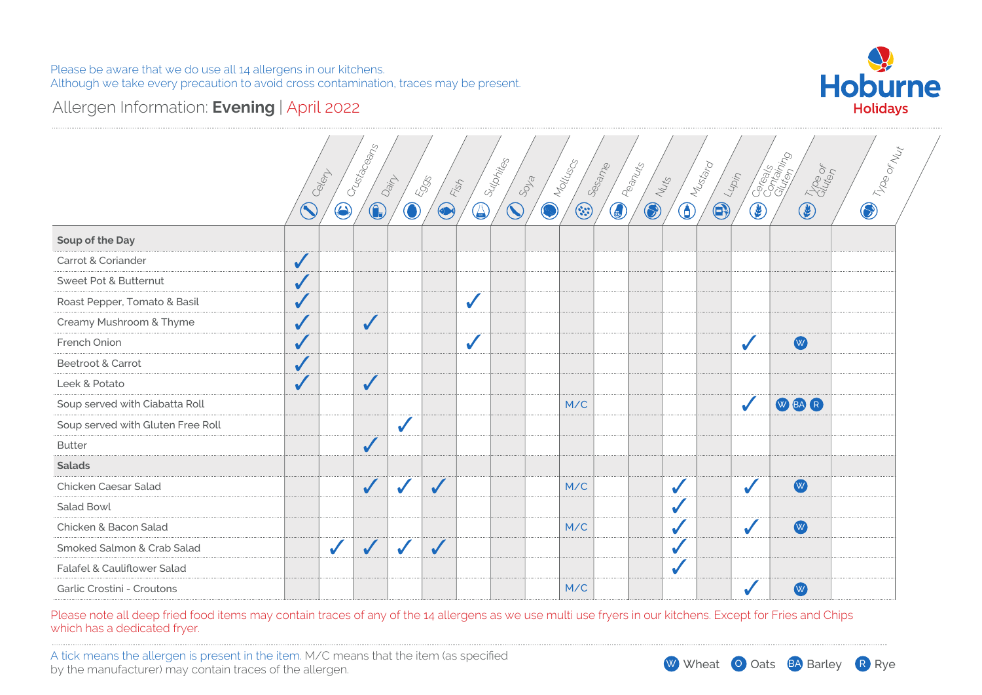

# Allergen Information: **Evening** | April 2022

|                                   |              | Celert       | Crustaceans  | Dain         | 5905          | Fish         | Sulphites  | SOLS | Molluscs | Sesame<br><b>ED</b> Peanuts | Nuts       |            | I Mustard<br>$\frac{1}{400\eta}$ |                     | Cocalco Collaborato<br><b>CE</b> Troop | <b>D</b> Troe or May |  |
|-----------------------------------|--------------|--------------|--------------|--------------|---------------|--------------|------------|------|----------|-----------------------------|------------|------------|----------------------------------|---------------------|----------------------------------------|----------------------|--|
|                                   | $\bigcirc$   | $\bigcirc$   | $\bigcirc$   | $\bigcirc$   | $\circledast$ | $\bigcirc$   | $\bigcirc$ | Ø    | $\odot$  |                             | $\bigcirc$ | $\bigcirc$ | $\bigoplus$                      | $\bigcircled{\!\!}$ |                                        |                      |  |
| Soup of the Day                   |              |              |              |              |               |              |            |      |          |                             |            |            |                                  |                     |                                        |                      |  |
| Carrot & Coriander                | $\checkmark$ |              |              |              |               |              |            |      |          |                             |            |            |                                  |                     |                                        |                      |  |
| Sweet Pot & Butternut             | $\checkmark$ |              |              |              |               |              |            |      |          |                             |            |            |                                  |                     |                                        |                      |  |
| Roast Pepper, Tomato & Basil      | $\checkmark$ |              |              |              |               | $\checkmark$ |            |      |          |                             |            |            |                                  |                     |                                        |                      |  |
| Creamy Mushroom & Thyme           | $\checkmark$ |              | $\checkmark$ |              |               |              |            |      |          |                             |            |            |                                  |                     |                                        |                      |  |
| French Onion                      | $\checkmark$ |              |              |              |               | $\checkmark$ |            |      |          |                             |            |            |                                  |                     | W                                      |                      |  |
| Beetroot & Carrot                 | $\sqrt{2}$   |              |              |              |               |              |            |      |          |                             |            |            |                                  |                     |                                        |                      |  |
| Leek & Potato                     | $\checkmark$ |              | $\checkmark$ |              |               |              |            |      |          |                             |            |            |                                  |                     |                                        |                      |  |
| Soup served with Ciabatta Roll    |              |              |              |              |               |              |            |      | M/C      |                             |            |            |                                  |                     | WEAR                                   |                      |  |
| Soup served with Gluten Free Roll |              |              |              | $\checkmark$ |               |              |            |      |          |                             |            |            |                                  |                     |                                        |                      |  |
| <b>Butter</b>                     |              |              | $\checkmark$ |              |               |              |            |      |          |                             |            |            |                                  |                     |                                        |                      |  |
| <b>Salads</b>                     |              |              |              |              |               |              |            |      |          |                             |            |            |                                  |                     |                                        |                      |  |
| Chicken Caesar Salad              |              |              | $\checkmark$ | $\checkmark$ | $\checkmark$  |              |            |      | M/C      |                             |            |            |                                  | J                   | W                                      |                      |  |
| Salad Bowl                        |              |              |              |              |               |              |            |      |          |                             |            |            |                                  |                     |                                        |                      |  |
| Chicken & Bacon Salad             |              |              |              |              |               |              |            |      | M/C      |                             |            |            |                                  |                     | W                                      |                      |  |
| Smoked Salmon & Crab Salad        |              | $\checkmark$ | $\checkmark$ | $\checkmark$ | $\checkmark$  |              |            |      |          |                             |            |            |                                  |                     |                                        |                      |  |
| Falafel & Cauliflower Salad       |              |              |              |              |               |              |            |      |          |                             |            |            |                                  |                     |                                        |                      |  |
| Garlic Crostini - Croutons        |              |              |              |              |               |              |            |      | M/C      |                             |            |            |                                  |                     | W                                      |                      |  |

Please note all deep fried food items may contain traces of any of the 14 allergens as we use multi use fryers in our kitchens. Except for Fries and Chips which has a dedicated fryer.

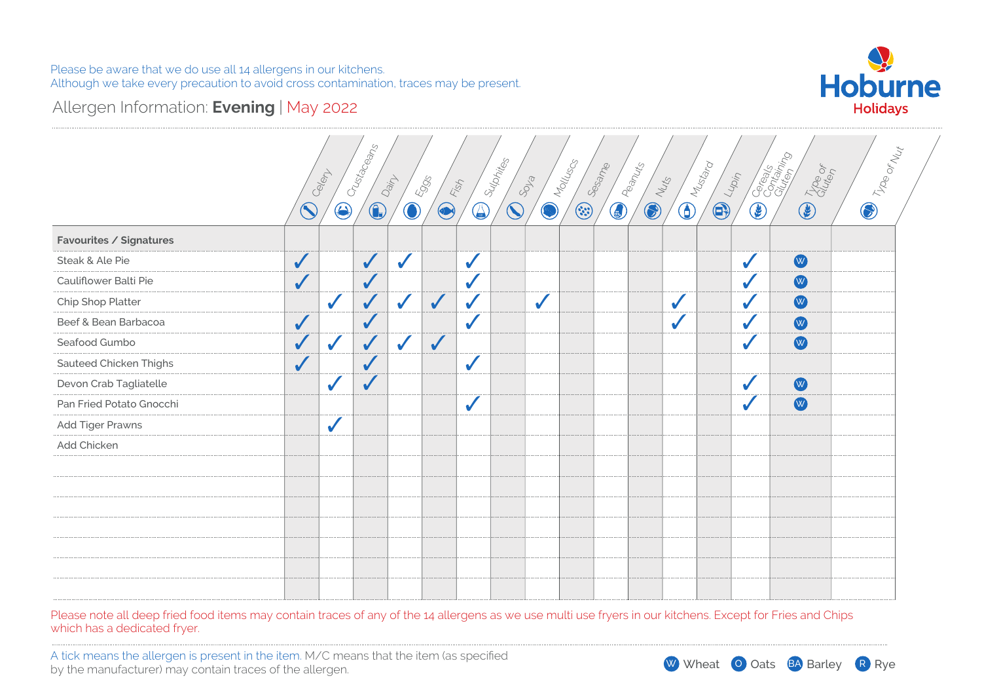

# Allergen Information: **Evening** | May 2022

|                          |              | Celent       | Crustaceans  | Dain         | Eggs         | Fish         | Sulphites  | SOLS         | <b>CONTROLLING</b><br><b>ESSERIES</b> |            | Peanuts<br><b>COLLEGE</b> | <b>Divided</b> | <b>CONTROVERSITY</b> |            | Corealist Co<br><b>Control Club</b> | <b>D</b> Troe or Nut |
|--------------------------|--------------|--------------|--------------|--------------|--------------|--------------|------------|--------------|---------------------------------------|------------|---------------------------|----------------|----------------------|------------|-------------------------------------|----------------------|
|                          | $\bigcirc$   | $\bigcirc$   | $\bigcirc$   | $\bigcirc$   | $\bigcirc$   | $\bigcirc$   | $\bigcirc$ |              |                                       | $\bigcirc$ |                           |                |                      | $\bigcirc$ |                                     |                      |
| Favourites / Signatures  |              |              |              |              |              |              |            |              |                                       |            |                           |                |                      |            |                                     |                      |
| Steak & Ale Pie          | $\checkmark$ |              | $\checkmark$ | $\checkmark$ |              | $\checkmark$ |            |              |                                       |            |                           |                |                      | ✔          | W                                   |                      |
| Cauliflower Balti Pie    | $\checkmark$ |              | $\checkmark$ |              |              | V            |            |              |                                       |            |                           |                |                      | ✔          | W                                   |                      |
| Chip Shop Platter        |              | ✔            | $\checkmark$ | $\checkmark$ | $\checkmark$ | $\sqrt{2}$   |            | $\checkmark$ |                                       |            |                           | $\checkmark$   |                      | ✔          | W                                   |                      |
| Beef & Bean Barbacoa     | $\checkmark$ |              | $\checkmark$ |              |              | $\checkmark$ |            |              |                                       |            |                           | $\checkmark$   |                      | ✔          | W                                   |                      |
| Seafood Gumbo            | $\checkmark$ | $\checkmark$ | $\checkmark$ | $\checkmark$ | $\checkmark$ |              |            |              |                                       |            |                           |                |                      |            | W                                   |                      |
| Sauteed Chicken Thighs   | $\checkmark$ |              | $\checkmark$ |              |              | $\checkmark$ |            |              |                                       |            |                           |                |                      |            |                                     |                      |
| Devon Crab Tagliatelle   |              | $\checkmark$ | $\checkmark$ |              |              |              |            |              |                                       |            |                           |                |                      | ✔          | W                                   |                      |
| Pan Fried Potato Gnocchi |              |              |              |              |              | $\checkmark$ |            |              |                                       |            |                           |                |                      |            | W                                   |                      |
| Add Tiger Prawns         |              | $\checkmark$ |              |              |              |              |            |              |                                       |            |                           |                |                      |            |                                     |                      |
| Add Chicken              |              |              |              |              |              |              |            |              |                                       |            |                           |                |                      |            |                                     |                      |
|                          |              |              |              |              |              |              |            |              |                                       |            |                           |                |                      |            |                                     |                      |
|                          |              |              |              |              |              |              |            |              |                                       |            |                           |                |                      |            |                                     |                      |
|                          |              |              |              |              |              |              |            |              |                                       |            |                           |                |                      |            |                                     |                      |
|                          |              |              |              |              |              |              |            |              |                                       |            |                           |                |                      |            |                                     |                      |
|                          |              |              |              |              |              |              |            |              |                                       |            |                           |                |                      |            |                                     |                      |
|                          |              |              |              |              |              |              |            |              |                                       |            |                           |                |                      |            |                                     |                      |
|                          |              |              |              |              |              |              |            |              |                                       |            |                           |                |                      |            |                                     |                      |

Please note all deep fried food items may contain traces of any of the 14 allergens as we use multi use fryers in our kitchens. Except for Fries and Chips which has a dedicated fryer.

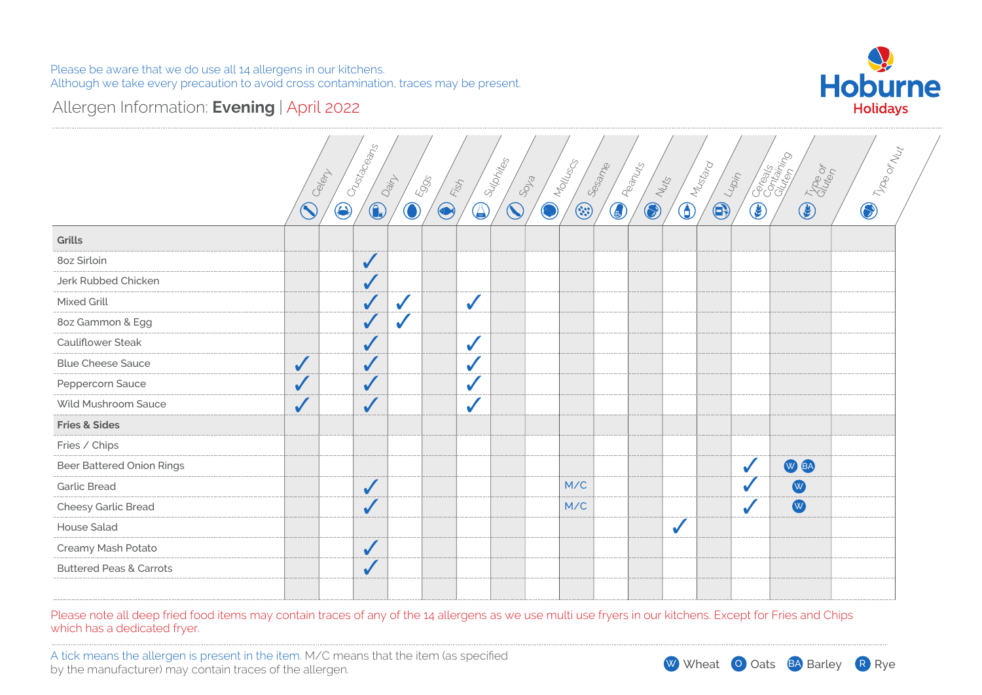

# Allergen Information: **Evening** | April 2022

|                                    |              | Crustaceans              |              |                     | Suphites                 |            | Molluscs | Sesame           |            | $\bigoplus_{\substack{\mathcal{M}_{\mathcal{U}_{\mathcal{U}_{\mathcal{V}_{\mathcal{O}}}}}}}\mathcal{M}_{\mathcal{U}_{\mathcal{U}_{\mathcal{U}_{\mathcal{O}}}}}$ |             |            | Corealist Coreal   |                      |
|------------------------------------|--------------|--------------------------|--------------|---------------------|--------------------------|------------|----------|------------------|------------|-----------------------------------------------------------------------------------------------------------------------------------------------------------------|-------------|------------|--------------------|----------------------|
|                                    |              | Celept                   | Dainy        | <b>Eggs</b><br>Fish |                          | SOLS       |          |                  | Nuts       |                                                                                                                                                                 | Lupin       |            |                    |                      |
|                                    | $\bigcirc$   | $\bigcirc$<br>$\bigcirc$ | $\bigcirc$   | $\bigcirc$          | $\bigodot$<br>$\bigcirc$ | $\bigcirc$ | $\odot$  | <b>Community</b> | $\bigcirc$ |                                                                                                                                                                 | $\bigoplus$ | $\bigcirc$ | <b>Communities</b> | <b>D</b> Troe or Nut |
| Grills                             |              |                          |              |                     |                          |            |          |                  |            |                                                                                                                                                                 |             |            |                    |                      |
| 8oz Sirloin                        |              | $\checkmark$             |              |                     |                          |            |          |                  |            |                                                                                                                                                                 |             |            |                    |                      |
| Jerk Rubbed Chicken                |              | $\sqrt{2}$               |              |                     |                          |            |          |                  |            |                                                                                                                                                                 |             |            |                    |                      |
| Mixed Grill                        |              | $\sqrt{2}$               | $\checkmark$ | $\checkmark$        |                          |            |          |                  |            |                                                                                                                                                                 |             |            |                    |                      |
| 8oz Gammon & Egg                   |              | $\checkmark$             | $\checkmark$ |                     |                          |            |          |                  |            |                                                                                                                                                                 |             |            |                    |                      |
| Cauliflower Steak                  |              | $\sqrt{2}$               |              | $\checkmark$        |                          |            |          |                  |            |                                                                                                                                                                 |             |            |                    |                      |
| <b>Blue Cheese Sauce</b>           | $\checkmark$ | $\sqrt{}$                |              | $\checkmark$        |                          |            |          |                  |            |                                                                                                                                                                 |             |            |                    |                      |
| Peppercorn Sauce                   |              | $\checkmark$             |              | $\checkmark$        |                          |            |          |                  |            |                                                                                                                                                                 |             |            |                    |                      |
| Wild Mushroom Sauce                | $\checkmark$ | $\sqrt{2}$               |              | $\checkmark$        |                          |            |          |                  |            |                                                                                                                                                                 |             |            |                    |                      |
| <b>Fries &amp; Sides</b>           |              |                          |              |                     |                          |            |          |                  |            |                                                                                                                                                                 |             |            |                    |                      |
| Fries / Chips                      |              |                          |              |                     |                          |            |          |                  |            |                                                                                                                                                                 |             |            |                    |                      |
| <b>Beer Battered Onion Rings</b>   |              |                          |              |                     |                          |            |          |                  |            |                                                                                                                                                                 |             |            | W BA               |                      |
| <b>Garlic Bread</b>                |              | $\checkmark$             |              |                     |                          |            | M/C      |                  |            |                                                                                                                                                                 |             |            | W                  |                      |
| Cheesy Garlic Bread                |              | $\checkmark$             |              |                     |                          |            | M/C      |                  |            |                                                                                                                                                                 |             |            | W                  |                      |
| <b>House Salad</b>                 |              |                          |              |                     |                          |            |          |                  |            | ✔                                                                                                                                                               |             |            |                    |                      |
| Creamy Mash Potato                 |              | $\checkmark$             |              |                     |                          |            |          |                  |            |                                                                                                                                                                 |             |            |                    |                      |
| <b>Buttered Peas &amp; Carrots</b> |              | $\checkmark$             |              |                     |                          |            |          |                  |            |                                                                                                                                                                 |             |            |                    |                      |
|                                    |              |                          |              |                     |                          |            |          |                  |            |                                                                                                                                                                 |             |            |                    |                      |

Please note all deep fried food items may contain traces of any of the 14 allergens as we use multi use fryers in our kitchens. Except for Fries and Chips which has a dedicated fryer.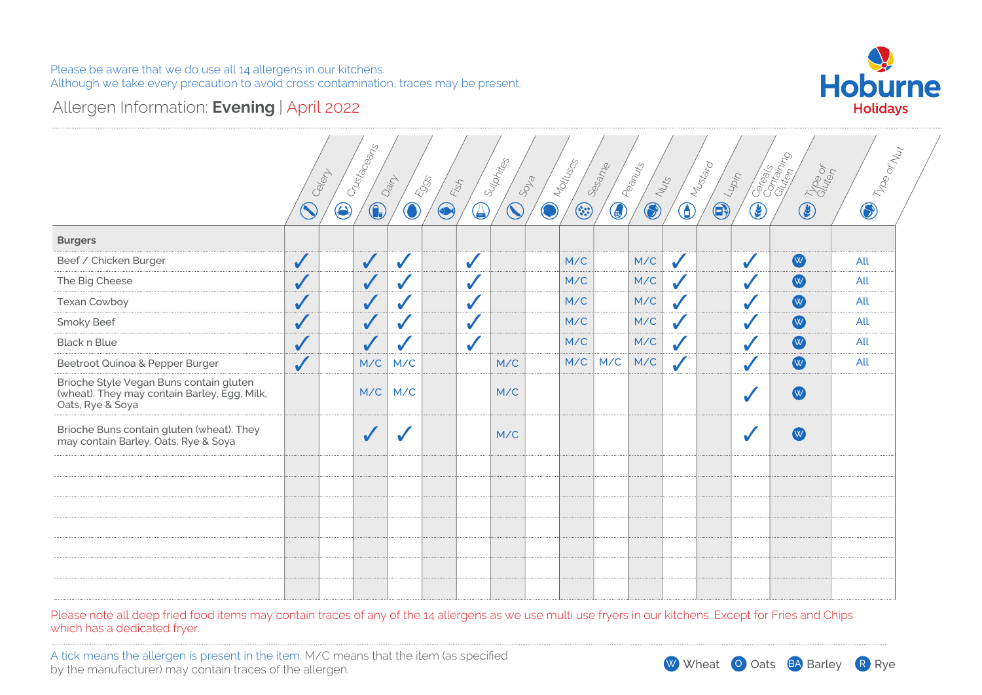

# Allergen Information: **Evening** | April 2022

|                                                                                                             |              | Crustaceans<br>Celent    | Dain             | <b>Eggs</b><br>Fish         | Sulphites              | SOLS       | Molluscs | Sesame | Peanuts    | Nuts         | I Mustard<br>$\frac{1}{100}$ |               | Caracter Ro<br>Trop of | <b>D</b> Troe or Nut |
|-------------------------------------------------------------------------------------------------------------|--------------|--------------------------|------------------|-----------------------------|------------------------|------------|----------|--------|------------|--------------|------------------------------|---------------|------------------------|----------------------|
|                                                                                                             | $\bigcirc$   | $\bigcirc$<br>$\bigcirc$ | $\bigcirc$       | $\bigcirc$<br>$\circledast$ | $\widehat{\mathbb{C}}$ | $\bigcirc$ | $\odot$  | 0      | $\bigcirc$ | $\bigcirc$   | $\bigcirc$                   | $\circledast$ | $\bigcirc$             |                      |
| <b>Burgers</b>                                                                                              |              |                          |                  |                             |                        |            |          |        |            |              |                              |               |                        |                      |
| Beef / Chicken Burger                                                                                       | $\checkmark$ | $\checkmark$             |                  | $\sqrt{2}$                  |                        |            | M/C      |        | M/C        | $\checkmark$ |                              | $\checkmark$  | W                      | All                  |
| The Big Cheese                                                                                              | $\checkmark$ | $\checkmark$             | $\checkmark$     | $\checkmark$                |                        |            | M/C      |        | M/C        | $\checkmark$ |                              |               | W                      | All                  |
| Texan Cowboy                                                                                                |              | $\checkmark$             | $\checkmark$     | $\checkmark$                |                        |            | M/C      |        | M/C        |              |                              |               | W                      | All                  |
| Smoky Beef                                                                                                  |              | $\checkmark$             | $\checkmark$     | $\checkmark$                |                        |            | M/C      |        | M/C        |              |                              |               | W                      | All                  |
| <b>Black n Blue</b>                                                                                         | $\checkmark$ | $\sqrt{}$                | $\checkmark$     | $\checkmark$                |                        |            | M/C      |        | M/C        |              |                              |               | W                      | All                  |
| Beetroot Quinoa & Pepper Burger                                                                             | $\checkmark$ | M/C                      | M/C              |                             | M/C                    |            | M/C      | M/C    | M/C        | $\checkmark$ |                              |               | W                      | All                  |
| Brioche Style Vegan Buns contain gluten<br>(wheat). They may contain Barley, Egg, Milk,<br>Oats, Rye & Soya |              | M/C                      | M/C              |                             | M/C                    |            |          |        |            |              |                              |               | W)                     |                      |
| Brioche Buns contain gluten (wheat). They<br>may contain Barley, Oats, Rye & Soya                           |              | $\checkmark$             | $\boldsymbol{J}$ |                             | M/C                    |            |          |        |            |              |                              |               | W                      |                      |
|                                                                                                             |              |                          |                  |                             |                        |            |          |        |            |              |                              |               |                        |                      |
|                                                                                                             |              |                          |                  |                             |                        |            |          |        |            |              |                              |               |                        |                      |
|                                                                                                             |              |                          |                  |                             |                        |            |          |        |            |              |                              |               |                        |                      |
|                                                                                                             |              |                          |                  |                             |                        |            |          |        |            |              |                              |               |                        |                      |
|                                                                                                             |              |                          |                  |                             |                        |            |          |        |            |              |                              |               |                        |                      |
|                                                                                                             |              |                          |                  |                             |                        |            |          |        |            |              |                              |               |                        |                      |
|                                                                                                             |              |                          |                  |                             |                        |            |          |        |            |              |                              |               |                        |                      |

Please note all deep fried food items may contain traces of any of the 14 allergens as we use multi use fryers in our kitchens. Except for Fries and Chips which has a dedicated fryer.

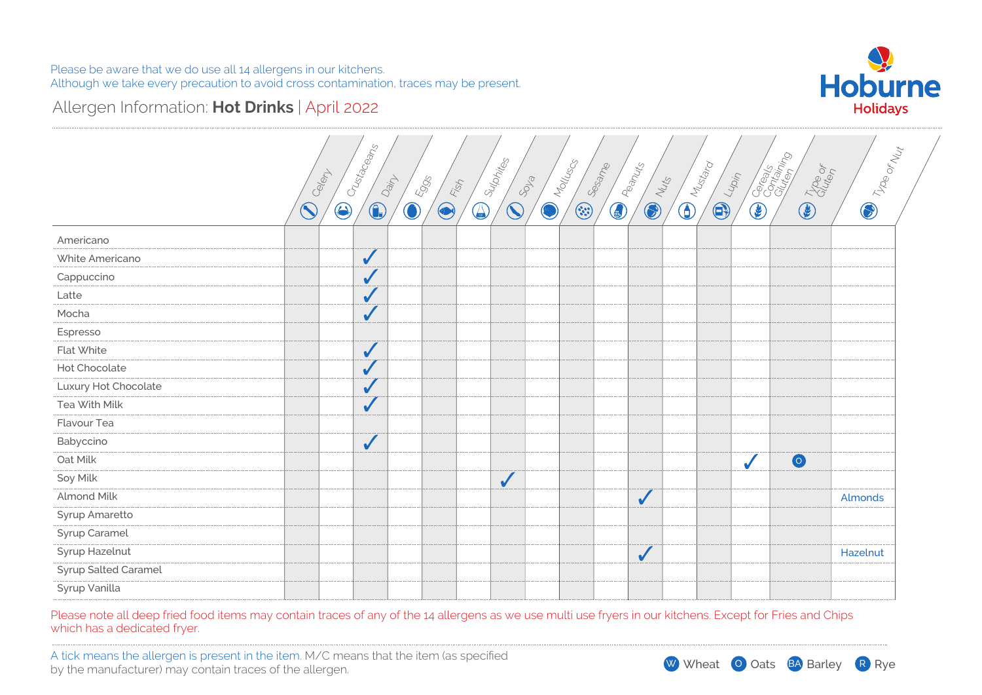

# Allergen Information: **Hot Drinks** | April 2022

| Crustaceans<br>$\bigcircledast_{\mathcal{V}_{\mathcal{D}\otimes_{\mathcal{O}_{\mathcal{V}_{\mathcal{U}_{\mathcal{C}}}}}}$<br>Corealist Clear<br>I Sulphites<br>Molluscs<br><b>DRAWING</b><br>$\bigoplus_{\substack{\mathcal{M}_{\mathcal{U}_{\mathcal{U}_{\mathcal{V}_{\mathcal{O}}}}}}}\mathcal{M}_{\mathcal{U}_{\mathcal{U}_{\mathcal{U}_{\mathcal{O}}}}}$<br>Sesame<br><b>CELTINGS</b><br>Celert<br>$\mathcal{L}_{\mathcal{U}_{\mathcal{D},\mathcal{V}_{\mathcal{T}}}}$<br>Dain<br>5905<br>SOLS<br><b>COLLEGE</b><br>Fish<br>$\bigcirc$<br>$\widehat{\mathbb{C}}$<br>$\odot$<br>$\bigcirc$<br>$\bigcirc$<br>$\bigcirc$<br>$\bigcirc$<br>E<br>$\bigcirc$<br>$\bigcirc$<br>$\checkmark$<br>$\checkmark$<br>$\sqrt{2}$<br>$\checkmark$<br>$\checkmark$<br>$\checkmark$<br>$\checkmark$<br>$\checkmark$<br>$\checkmark$<br>$\bullet$<br>$\checkmark$<br>$\checkmark$<br>Almonds<br>$\checkmark$<br>Hazelnut |                      |  |  |  |  |  |  |  |  |  |
|------------------------------------------------------------------------------------------------------------------------------------------------------------------------------------------------------------------------------------------------------------------------------------------------------------------------------------------------------------------------------------------------------------------------------------------------------------------------------------------------------------------------------------------------------------------------------------------------------------------------------------------------------------------------------------------------------------------------------------------------------------------------------------------------------------------------------------------------------------------------------------------------------------|----------------------|--|--|--|--|--|--|--|--|--|
|                                                                                                                                                                                                                                                                                                                                                                                                                                                                                                                                                                                                                                                                                                                                                                                                                                                                                                            |                      |  |  |  |  |  |  |  |  |  |
|                                                                                                                                                                                                                                                                                                                                                                                                                                                                                                                                                                                                                                                                                                                                                                                                                                                                                                            |                      |  |  |  |  |  |  |  |  |  |
|                                                                                                                                                                                                                                                                                                                                                                                                                                                                                                                                                                                                                                                                                                                                                                                                                                                                                                            | Americano            |  |  |  |  |  |  |  |  |  |
|                                                                                                                                                                                                                                                                                                                                                                                                                                                                                                                                                                                                                                                                                                                                                                                                                                                                                                            | White Americano      |  |  |  |  |  |  |  |  |  |
|                                                                                                                                                                                                                                                                                                                                                                                                                                                                                                                                                                                                                                                                                                                                                                                                                                                                                                            | Cappuccino           |  |  |  |  |  |  |  |  |  |
|                                                                                                                                                                                                                                                                                                                                                                                                                                                                                                                                                                                                                                                                                                                                                                                                                                                                                                            | Latte                |  |  |  |  |  |  |  |  |  |
|                                                                                                                                                                                                                                                                                                                                                                                                                                                                                                                                                                                                                                                                                                                                                                                                                                                                                                            | Mocha                |  |  |  |  |  |  |  |  |  |
|                                                                                                                                                                                                                                                                                                                                                                                                                                                                                                                                                                                                                                                                                                                                                                                                                                                                                                            | Espresso             |  |  |  |  |  |  |  |  |  |
|                                                                                                                                                                                                                                                                                                                                                                                                                                                                                                                                                                                                                                                                                                                                                                                                                                                                                                            | Flat White           |  |  |  |  |  |  |  |  |  |
|                                                                                                                                                                                                                                                                                                                                                                                                                                                                                                                                                                                                                                                                                                                                                                                                                                                                                                            | Hot Chocolate        |  |  |  |  |  |  |  |  |  |
|                                                                                                                                                                                                                                                                                                                                                                                                                                                                                                                                                                                                                                                                                                                                                                                                                                                                                                            | Luxury Hot Chocolate |  |  |  |  |  |  |  |  |  |
|                                                                                                                                                                                                                                                                                                                                                                                                                                                                                                                                                                                                                                                                                                                                                                                                                                                                                                            | Tea With Milk        |  |  |  |  |  |  |  |  |  |
|                                                                                                                                                                                                                                                                                                                                                                                                                                                                                                                                                                                                                                                                                                                                                                                                                                                                                                            | Flavour Tea          |  |  |  |  |  |  |  |  |  |
|                                                                                                                                                                                                                                                                                                                                                                                                                                                                                                                                                                                                                                                                                                                                                                                                                                                                                                            | Babyccino            |  |  |  |  |  |  |  |  |  |
|                                                                                                                                                                                                                                                                                                                                                                                                                                                                                                                                                                                                                                                                                                                                                                                                                                                                                                            | Oat Milk             |  |  |  |  |  |  |  |  |  |
|                                                                                                                                                                                                                                                                                                                                                                                                                                                                                                                                                                                                                                                                                                                                                                                                                                                                                                            | Soy Milk             |  |  |  |  |  |  |  |  |  |
|                                                                                                                                                                                                                                                                                                                                                                                                                                                                                                                                                                                                                                                                                                                                                                                                                                                                                                            | <b>Almond Milk</b>   |  |  |  |  |  |  |  |  |  |
|                                                                                                                                                                                                                                                                                                                                                                                                                                                                                                                                                                                                                                                                                                                                                                                                                                                                                                            | Syrup Amaretto       |  |  |  |  |  |  |  |  |  |
|                                                                                                                                                                                                                                                                                                                                                                                                                                                                                                                                                                                                                                                                                                                                                                                                                                                                                                            | Syrup Caramel        |  |  |  |  |  |  |  |  |  |
|                                                                                                                                                                                                                                                                                                                                                                                                                                                                                                                                                                                                                                                                                                                                                                                                                                                                                                            | Syrup Hazelnut       |  |  |  |  |  |  |  |  |  |
|                                                                                                                                                                                                                                                                                                                                                                                                                                                                                                                                                                                                                                                                                                                                                                                                                                                                                                            | Syrup Salted Caramel |  |  |  |  |  |  |  |  |  |
|                                                                                                                                                                                                                                                                                                                                                                                                                                                                                                                                                                                                                                                                                                                                                                                                                                                                                                            | Syrup Vanilla        |  |  |  |  |  |  |  |  |  |

Please note all deep fried food items may contain traces of any of the 14 allergens as we use multi use fryers in our kitchens. Except for Fries and Chips which has a dedicated fryer.

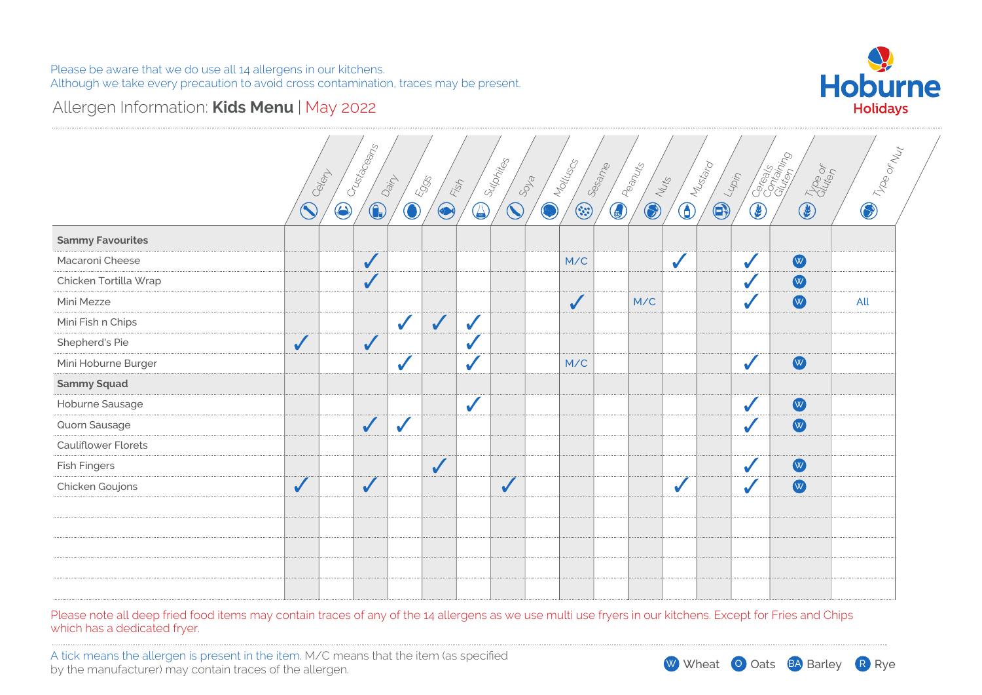

### Allergen Information: **Kids Menu** | May 2022

|                            | Celent       | Crustaceans              | Dain         | 5995<br>Fish |              | <b>Supplies</b><br>SOLS | Molluscs   | Sesame       | <b>BRANCHS</b> | <b>Divideo</b> | Lupin      |            | Coreagn Coreagn<br><b>CELITORY</b> | <b>D</b> Troe or Net |
|----------------------------|--------------|--------------------------|--------------|--------------|--------------|-------------------------|------------|--------------|----------------|----------------|------------|------------|------------------------------------|----------------------|
|                            | $\bigcirc$   | $\bigcirc$<br>$\bigcirc$ | $\bigodot$   | $\bigcirc$   | $\bigcirc$   | $\bigcirc$              | $\bigcirc$ | $\odot$      | <b>COLLEGE</b> |                | $\bigcirc$ | $\bigcirc$ |                                    |                      |
| <b>Sammy Favourites</b>    |              |                          |              |              |              |                         |            |              |                |                |            |            |                                    |                      |
| Macaroni Cheese            |              | $\checkmark$             |              |              |              |                         |            | M/C          |                | $\checkmark$   |            | ✔          | W                                  |                      |
| Chicken Tortilla Wrap      |              | $\checkmark$             |              |              |              |                         |            |              |                |                |            |            | W                                  |                      |
| Mini Mezze                 |              |                          |              |              |              |                         |            | $\checkmark$ | M/C            |                |            |            | W                                  | All                  |
| Mini Fish n Chips          |              |                          | $\checkmark$ | $\sqrt{}$    | $\checkmark$ |                         |            |              |                |                |            |            |                                    |                      |
| Shepherd's Pie             | $\checkmark$ | $\checkmark$             |              |              | $\checkmark$ |                         |            |              |                |                |            |            |                                    |                      |
| Mini Hoburne Burger        |              |                          |              |              | $\checkmark$ |                         |            | M/C          |                |                |            | √          | W                                  |                      |
| <b>Sammy Squad</b>         |              |                          |              |              |              |                         |            |              |                |                |            |            |                                    |                      |
| Hoburne Sausage            |              |                          |              |              | $\checkmark$ |                         |            |              |                |                |            |            | W                                  |                      |
| Quorn Sausage              |              | $\checkmark$             | $\checkmark$ |              |              |                         |            |              |                |                |            |            | W                                  |                      |
| <b>Cauliflower Florets</b> |              |                          |              |              |              |                         |            |              |                |                |            |            |                                    |                      |
| <b>Fish Fingers</b>        |              |                          |              | $\sqrt{}$    |              |                         |            |              |                |                |            |            | W                                  |                      |
| Chicken Goujons            | $\checkmark$ | $\checkmark$             |              |              |              | $\checkmark$            |            |              |                | $\checkmark$   |            |            | W                                  |                      |
|                            |              |                          |              |              |              |                         |            |              |                |                |            |            |                                    |                      |
|                            |              |                          |              |              |              |                         |            |              |                |                |            |            |                                    |                      |
|                            |              |                          |              |              |              |                         |            |              |                |                |            |            |                                    |                      |
|                            |              |                          |              |              |              |                         |            |              |                |                |            |            |                                    |                      |
|                            |              |                          |              |              |              |                         |            |              |                |                |            |            |                                    |                      |

Please note all deep fried food items may contain traces of any of the 14 allergens as we use multi use fryers in our kitchens. Except for Fries and Chips which has a dedicated fryer.

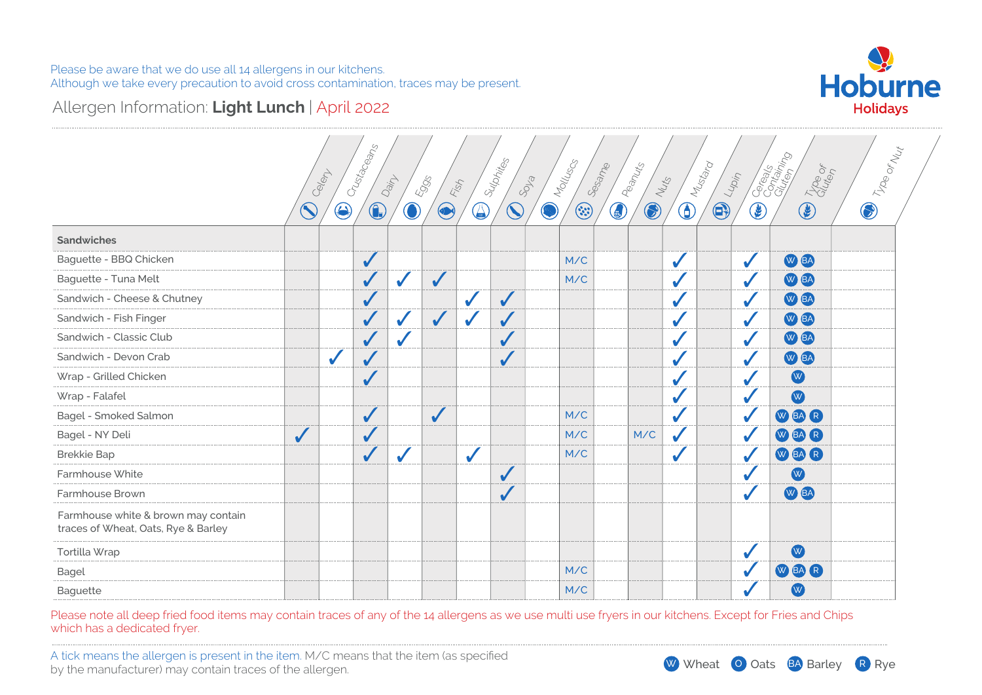

# Allergen Information: **Light Lunch** | April 2022

|                                                                            |              | Celem        | Crustaceans  | Dainy      | <b>Eggs</b><br>Fish |              | Sulphites    | SDLB | Molluscs<br>Sesame | Peanuts    | Nuts       |            | Mustard<br>$L_{4/2\eta\gamma}$ |            | Cocontractor<br>Type or |            | ) Troe or Nut |
|----------------------------------------------------------------------------|--------------|--------------|--------------|------------|---------------------|--------------|--------------|------|--------------------|------------|------------|------------|--------------------------------|------------|-------------------------|------------|---------------|
|                                                                            | $\bigcirc$   | $\bigcirc$   | $\bigcirc$   | $\bigodot$ | $\bigcirc$          | $\bigcirc$   | $\bigcirc$   | Ø    | $\odot$            | $\bigcirc$ | $\bigcirc$ | $\bigcirc$ | $\bigcirc$                     | $\bigcirc$ | $\circledast$           | $\bigcirc$ |               |
| <b>Sandwiches</b>                                                          |              |              |              |            |                     |              |              |      |                    |            |            |            |                                |            |                         |            |               |
| Baguette - BBQ Chicken                                                     |              |              | $\sqrt{}$    |            |                     |              |              |      | M/C                |            |            |            |                                |            | W BA                    |            |               |
| Baguette - Tuna Melt                                                       |              |              | $\sqrt{}$    | ✔          | ✔                   |              |              |      | M/C                |            |            |            |                                |            | W BA                    |            |               |
| Sandwich - Cheese & Chutney                                                |              |              | $\sqrt{}$    |            |                     | ✔            | $\checkmark$ |      |                    |            |            |            |                                |            | W BA                    |            |               |
| Sandwich - Fish Finger                                                     |              |              | $\checkmark$ | ✔          | $\checkmark$        |              | $\sqrt{2}$   |      |                    |            |            |            |                                |            | W BA                    |            |               |
| Sandwich - Classic Club                                                    |              |              | $\checkmark$ | ✔          |                     |              | ✔            |      |                    |            |            |            |                                |            | W BA                    |            |               |
| Sandwich - Devon Crab                                                      |              | $\checkmark$ |              |            |                     |              | $\checkmark$ |      |                    |            |            |            |                                |            | W BA                    |            |               |
| Wrap - Grilled Chicken                                                     |              |              | ✔            |            |                     |              |              |      |                    |            |            |            |                                |            | W                       |            |               |
| Wrap - Falafel                                                             |              |              |              |            |                     |              |              |      |                    |            |            |            |                                |            | W                       |            |               |
| Bagel - Smoked Salmon                                                      |              |              | $\checkmark$ |            | $\checkmark$        |              |              |      | M/C                |            |            |            |                                |            | WEAR                    |            |               |
| Bagel - NY Deli                                                            | $\checkmark$ |              | $\sqrt{2}$   |            |                     |              |              |      | M/C                |            | M/C        |            |                                |            | W BAR                   |            |               |
| <b>Brekkie Bap</b>                                                         |              |              | $\sqrt{}$    | ✔          |                     | $\checkmark$ |              |      | M/C                |            |            |            |                                |            | WBAR                    |            |               |
| Farmhouse White                                                            |              |              |              |            |                     |              | $\checkmark$ |      |                    |            |            |            |                                |            | W                       |            |               |
| Farmhouse Brown                                                            |              |              |              |            |                     |              | $\checkmark$ |      |                    |            |            |            |                                |            | W BA                    |            |               |
| Farmhouse white & brown may contain<br>traces of Wheat, Oats, Rye & Barley |              |              |              |            |                     |              |              |      |                    |            |            |            |                                |            |                         |            |               |
| Tortilla Wrap                                                              |              |              |              |            |                     |              |              |      |                    |            |            |            |                                |            | W                       |            |               |
| <b>Bagel</b>                                                               |              |              |              |            |                     |              |              |      | M/C                |            |            |            |                                |            | W BA R                  |            |               |
| Baguette                                                                   |              |              |              |            |                     |              |              |      | M/C                |            |            |            |                                |            | W                       |            |               |

Please note all deep fried food items may contain traces of any of the 14 allergens as we use multi use fryers in our kitchens. Except for Fries and Chips which has a dedicated fryer.

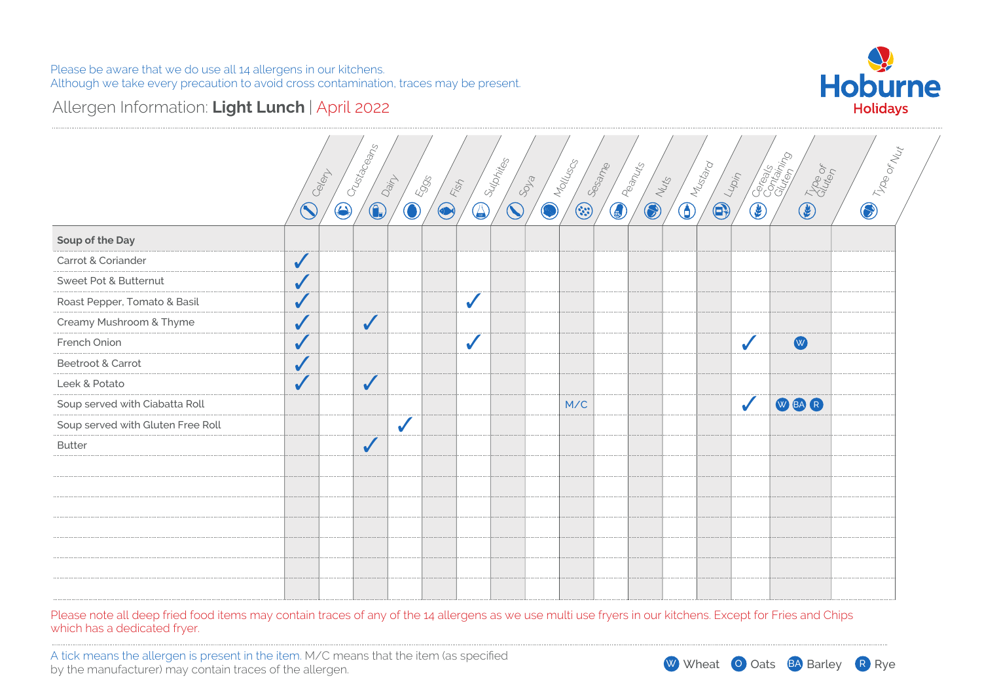# Allergen Information: **Light Lunch** | April 2022



|                                   | Celept       | Crustaceans              | Dain<br>5905                | Fish         | I Sulphites                           | 898 | <b>CONTROLLING</b>                                                                                                                                                                                                                                                                                                                                                          | Sesame<br><b>EDITED RESEARCH</b> |                | <b>DIRECTOR</b> |                    |              | <b>Contractor Contractor</b>                                                                                                                                                                                                                                                                                                                  | The or | <b>D</b> Troe or Nut |
|-----------------------------------|--------------|--------------------------|-----------------------------|--------------|---------------------------------------|-----|-----------------------------------------------------------------------------------------------------------------------------------------------------------------------------------------------------------------------------------------------------------------------------------------------------------------------------------------------------------------------------|----------------------------------|----------------|-----------------|--------------------|--------------|-----------------------------------------------------------------------------------------------------------------------------------------------------------------------------------------------------------------------------------------------------------------------------------------------------------------------------------------------|--------|----------------------|
|                                   | $\bigcirc$   | $\bigcirc$<br>$\bigcirc$ | $\textcolor{blue}{\bullet}$ | $\bigcirc$   | $\widehat{\mathcal{N}}$<br>$\bigcirc$ |     | $\begin{picture}(22,20) \put(0,0){\vector(0,1){10}} \put(15,0){\vector(0,1){10}} \put(15,0){\vector(0,1){10}} \put(15,0){\vector(0,1){10}} \put(15,0){\vector(0,1){10}} \put(15,0){\vector(0,1){10}} \put(15,0){\vector(0,1){10}} \put(15,0){\vector(0,1){10}} \put(15,0){\vector(0,1){10}} \put(15,0){\vector(0,1){10}} \put(15,0){\vector(0,1){10}} \put(15,0){\vector(0$ |                                  | <b>COLLEGE</b> |                 | <b>CONTROLLING</b> | $\bigcirc$   | $\begin{picture}(20,20) \put(0,0){\line(1,0){155}} \put(15,0){\line(1,0){155}} \put(15,0){\line(1,0){155}} \put(15,0){\line(1,0){155}} \put(15,0){\line(1,0){155}} \put(15,0){\line(1,0){155}} \put(15,0){\line(1,0){155}} \put(15,0){\line(1,0){155}} \put(15,0){\line(1,0){155}} \put(15,0){\line(1,0){155}} \put(15,0){\line(1,0){155}} \$ |        |                      |
| Soup of the Day                   |              |                          |                             |              |                                       |     |                                                                                                                                                                                                                                                                                                                                                                             |                                  |                |                 |                    |              |                                                                                                                                                                                                                                                                                                                                               |        |                      |
| Carrot & Coriander                | $\checkmark$ |                          |                             |              |                                       |     |                                                                                                                                                                                                                                                                                                                                                                             |                                  |                |                 |                    |              |                                                                                                                                                                                                                                                                                                                                               |        |                      |
| Sweet Pot & Butternut             | $\checkmark$ |                          |                             |              |                                       |     |                                                                                                                                                                                                                                                                                                                                                                             |                                  |                |                 |                    |              |                                                                                                                                                                                                                                                                                                                                               |        |                      |
| Roast Pepper, Tomato & Basil      | $\checkmark$ |                          |                             | $\checkmark$ |                                       |     |                                                                                                                                                                                                                                                                                                                                                                             |                                  |                |                 |                    |              |                                                                                                                                                                                                                                                                                                                                               |        |                      |
| Creamy Mushroom & Thyme           | $\sqrt{2}$   | $\checkmark$             |                             |              |                                       |     |                                                                                                                                                                                                                                                                                                                                                                             |                                  |                |                 |                    |              |                                                                                                                                                                                                                                                                                                                                               |        |                      |
| French Onion                      | $\sqrt{}$    |                          |                             | $\checkmark$ |                                       |     |                                                                                                                                                                                                                                                                                                                                                                             |                                  |                |                 |                    | $\checkmark$ | W                                                                                                                                                                                                                                                                                                                                             |        |                      |
| Beetroot & Carrot                 | $\checkmark$ |                          |                             |              |                                       |     |                                                                                                                                                                                                                                                                                                                                                                             |                                  |                |                 |                    |              |                                                                                                                                                                                                                                                                                                                                               |        |                      |
| Leek & Potato                     | $\checkmark$ | $\checkmark$             |                             |              |                                       |     |                                                                                                                                                                                                                                                                                                                                                                             |                                  |                |                 |                    |              |                                                                                                                                                                                                                                                                                                                                               |        |                      |
| Soup served with Ciabatta Roll    |              |                          |                             |              |                                       |     | M/C                                                                                                                                                                                                                                                                                                                                                                         |                                  |                |                 |                    | $\checkmark$ | <b>WEAR</b>                                                                                                                                                                                                                                                                                                                                   |        |                      |
| Soup served with Gluten Free Roll |              |                          | $\checkmark$                |              |                                       |     |                                                                                                                                                                                                                                                                                                                                                                             |                                  |                |                 |                    |              |                                                                                                                                                                                                                                                                                                                                               |        |                      |
| <b>Butter</b>                     |              | $\checkmark$             |                             |              |                                       |     |                                                                                                                                                                                                                                                                                                                                                                             |                                  |                |                 |                    |              |                                                                                                                                                                                                                                                                                                                                               |        |                      |
|                                   |              |                          |                             |              |                                       |     |                                                                                                                                                                                                                                                                                                                                                                             |                                  |                |                 |                    |              |                                                                                                                                                                                                                                                                                                                                               |        |                      |
|                                   |              |                          |                             |              |                                       |     |                                                                                                                                                                                                                                                                                                                                                                             |                                  |                |                 |                    |              |                                                                                                                                                                                                                                                                                                                                               |        |                      |
|                                   |              |                          |                             |              |                                       |     |                                                                                                                                                                                                                                                                                                                                                                             |                                  |                |                 |                    |              |                                                                                                                                                                                                                                                                                                                                               |        |                      |
|                                   |              |                          |                             |              |                                       |     |                                                                                                                                                                                                                                                                                                                                                                             |                                  |                |                 |                    |              |                                                                                                                                                                                                                                                                                                                                               |        |                      |
|                                   |              |                          |                             |              |                                       |     |                                                                                                                                                                                                                                                                                                                                                                             |                                  |                |                 |                    |              |                                                                                                                                                                                                                                                                                                                                               |        |                      |
|                                   |              |                          |                             |              |                                       |     |                                                                                                                                                                                                                                                                                                                                                                             |                                  |                |                 |                    |              |                                                                                                                                                                                                                                                                                                                                               |        |                      |
|                                   |              |                          |                             |              |                                       |     |                                                                                                                                                                                                                                                                                                                                                                             |                                  |                |                 |                    |              |                                                                                                                                                                                                                                                                                                                                               |        |                      |

Please note all deep fried food items may contain traces of any of the 14 allergens as we use multi use fryers in our kitchens. Except for Fries and Chips which has a dedicated fryer.